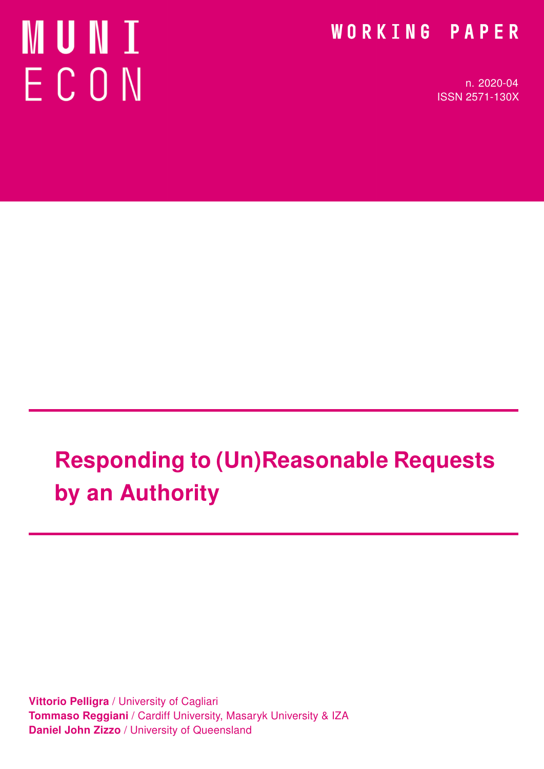# **MUNI** ECON

### WORKING PAPER

n. 2020-04 ISSN 2571-130X

# Responding to (Un)Reasonable Requests by an Authority

**Vittorio Pelligra / University of Cagliari** Tommaso Reggiani / Cardiff University, Masaryk University & IZA Daniel John Zizzo / University of Queensland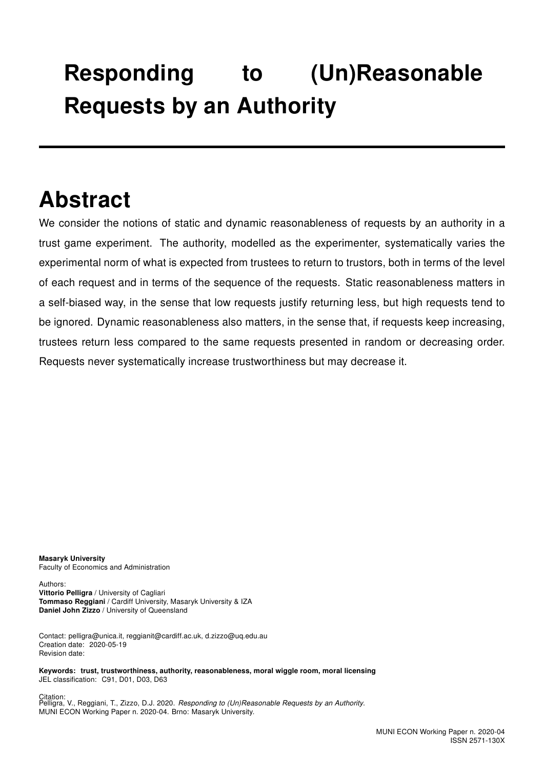## Responding to (Un)Reasonable Requests by an Authority

### Abstract

We consider the notions of static and dynamic reasonableness of requests by an authority in a trust game experiment. The authority, modelled as the experimenter, systematically varies the experimental norm of what is expected from trustees to return to trustors, both in terms of the level of each request and in terms of the sequence of the requests. Static reasonableness matters in a self-biased way, in the sense that low requests justify returning less, but high requests tend to be ignored. Dynamic reasonableness also matters, in the sense that, if requests keep increasing, trustees return less compared to the same requests presented in random or decreasing order. Requests never systematically increase trustworthiness but may decrease it.

Masaryk University Faculty of Economics and Administration

Authors: Vittorio Pelligra / University of Cagliari Tommaso Reggiani / Cardiff University, Masaryk University & IZA Daniel John Zizzo / University of Queensland

Contact: pelligra@unica.it, reggianit@cardiff.ac.uk, d.zizzo@uq.edu.au Creation date: 2020-05-19 Revision date:

Keywords: trust, trustworthiness, authority, reasonableness, moral wiggle room, moral licensing JEL classification: C91, D01, D03, D63

Citation:<br>Pelligra, V., Reggiani, T., Zizzo, D.J. 2020. *Responding to (Un)Reasonable Requests by an Authority*. MUNI ECON Working Paper n. 2020-04. Brno: Masaryk University.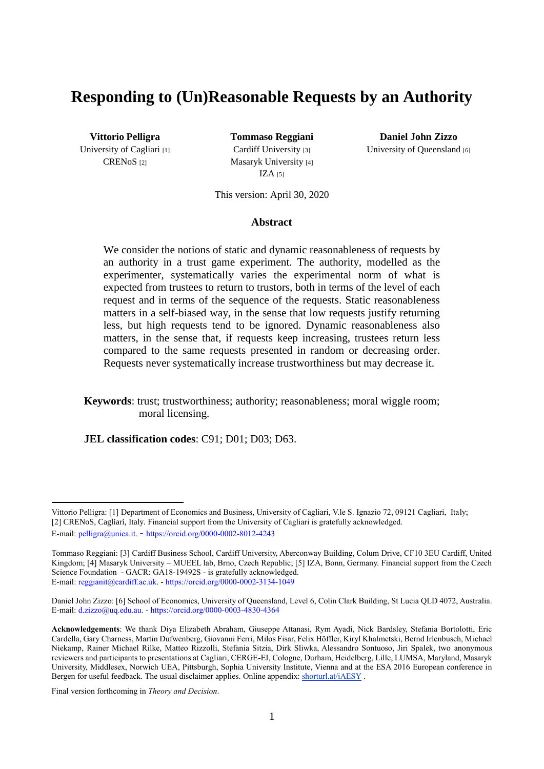#### **Responding to (Un)Reasonable Requests by an Authority**

University of Cagliari [1] CREN<sub>OS</sub><sup>[2]</sup>

Cardiff University [3] Masaryk University [4]  $IZA [5]$ 

**Vittorio Pelligra Tommaso Reggiani Daniel John Zizzo** University of Queensland [6]

This version: April 30, 2020

#### **Abstract**\*

We consider the notions of static and dynamic reasonableness of requests by an authority in a trust game experiment. The authority, modelled as the experimenter, systematically varies the experimental norm of what is expected from trustees to return to trustors, both in terms of the level of each request and in terms of the sequence of the requests. Static reasonableness matters in a self-biased way, in the sense that low requests justify returning less, but high requests tend to be ignored. Dynamic reasonableness also matters, in the sense that, if requests keep increasing, trustees return less compared to the same requests presented in random or decreasing order. Requests never systematically increase trustworthiness but may decrease it.

#### **Keywords**: trust; trustworthiness; authority; reasonableness; moral wiggle room; moral licensing.

**JEL classification codes**: C91; D01; D03; D63.

**<sup>.</sup>** Vittorio Pelligra: [1] Department of Economics and Business, University of Cagliari, V.le S. Ignazio 72, 09121 Cagliari, Italy; [2] CRENoS, Cagliari, Italy. Financial support from the University of Cagliari is gratefully acknowledged. E-mail: pelligra@unica.it. - https://orcid.org/0000-0002-8012-4243

Tommaso Reggiani: [3] Cardiff Business School, Cardiff University, Aberconway Building, Colum Drive, CF10 3EU Cardiff, United Kingdom; [4] Masaryk University – MUEEL lab, Brno, Czech Republic; [5] IZA, Bonn, Germany. Financial support from the Czech Science Foundation - GACR: GA18-19492S - is gratefully acknowledged. E-mail: reggianit@cardiff.ac.uk. - https://orcid.org/0000-0002-3134-1049

Daniel John Zizzo: [6] School of Economics, University of Queensland, Level 6, Colin Clark Building, St Lucia QLD 4072, Australia. E-mail: d.zizzo@uq.edu.au. - https://orcid.org/0000-0003-4830-4364

**Acknowledgements**: We thank Diya Elizabeth Abraham, Giuseppe Attanasi, Rym Ayadi, Nick Bardsley, Stefania Bortolotti, Eric Cardella, Gary Charness, Martin Dufwenberg, Giovanni Ferri, Milos Fisar, Felix Höffler, Kiryl Khalmetski, Bernd Irlenbusch, Michael Niekamp, Rainer Michael Rilke, Matteo Rizzolli, Stefania Sitzia, Dirk Sliwka, Alessandro Sontuoso, Jiri Spalek, two anonymous reviewers and participants to presentations at Cagliari, CERGE-EI, Cologne, Durham, Heidelberg, Lille, LUMSA, Maryland, Masaryk University, Middlesex, Norwich UEA, Pittsburgh, Sophia University Institute, Vienna and at the ESA 2016 European conference in Bergen for useful feedback. The usual disclaimer applies. Online appendix: shorturl.at/iAESY.

Final version forthcoming in *Theory and Decision*.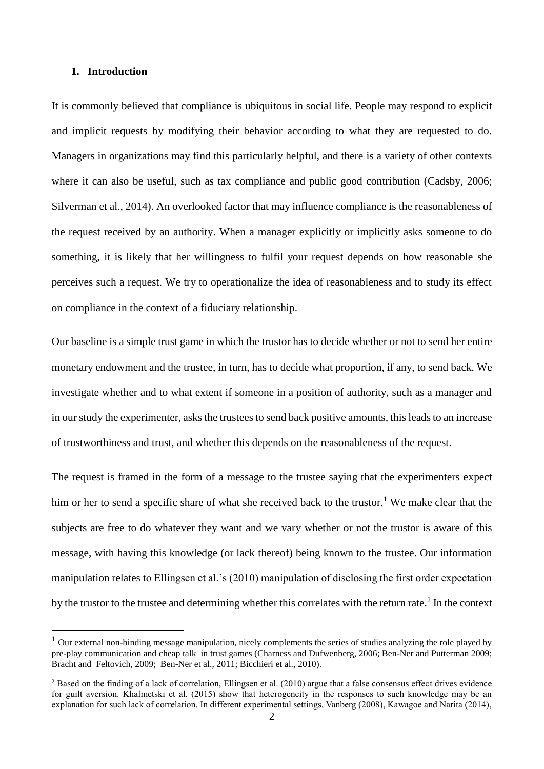#### **1. Introduction**

**.** 

It is commonly believed that compliance is ubiquitous in social life. People may respond to explicit and implicit requests by modifying their behavior according to what they are requested to do. Managers in organizations may find this particularly helpful, and there is a variety of other contexts where it can also be useful, such as tax compliance and public good contribution (Cadsby, 2006; Silverman et al., 2014). An overlooked factor that may influence compliance is the reasonableness of the request received by an authority. When a manager explicitly or implicitly asks someone to do something, it is likely that her willingness to fulfil your request depends on how reasonable she perceives such a request. We try to operationalize the idea of reasonableness and to study its effect on compliance in the context of a fiduciary relationship.

Our baseline is a simple trust game in which the trustor has to decide whether or not to send her entire monetary endowment and the trustee, in turn, has to decide what proportion, if any, to send back. We investigate whether and to what extent if someone in a position of authority, such as a manager and in our study the experimenter, asks the trustees to send back positive amounts, this leads to an increase of trustworthiness and trust, and whether this depends on the reasonableness of the request.

The request is framed in the form of a message to the trustee saying that the experimenters expect him or her to send a specific share of what she received back to the trustor.<sup>1</sup> We make clear that the subjects are free to do whatever they want and we vary whether or not the trustor is aware of this message, with having this knowledge (or lack thereof) being known to the trustee. Our information manipulation relates to Ellingsen et al.'s (2010) manipulation of disclosing the first order expectation by the trustor to the trustee and determining whether this correlates with the return rate. $2$  In the context

 $1$  Our external non-binding message manipulation, nicely complements the series of studies analyzing the role played by pre-play communication and cheap talk in trust games (Charness and Dufwenberg, 2006; Ben-Ner and Putterman 2009; Bracht and Feltovich, 2009; Ben-Ner et al., 2011; Bicchieri et al., 2010).

<sup>&</sup>lt;sup>2</sup> Based on the finding of a lack of correlation, Ellingsen et al. (2010) argue that a false consensus effect drives evidence for guilt aversion. Khalmetski et al. (2015) show that heterogeneity in the responses to such knowledge may be an explanation for such lack of correlation. In different experimental settings, Vanberg (2008), Kawagoe and Narita (2014),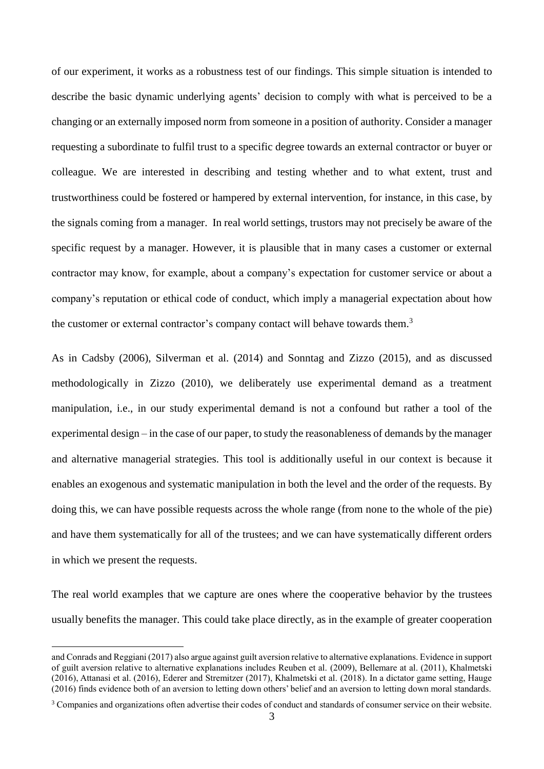of our experiment, it works as a robustness test of our findings. This simple situation is intended to describe the basic dynamic underlying agents' decision to comply with what is perceived to be a changing or an externally imposed norm from someone in a position of authority. Consider a manager requesting a subordinate to fulfil trust to a specific degree towards an external contractor or buyer or colleague. We are interested in describing and testing whether and to what extent, trust and trustworthiness could be fostered or hampered by external intervention, for instance, in this case, by the signals coming from a manager. In real world settings, trustors may not precisely be aware of the specific request by a manager. However, it is plausible that in many cases a customer or external contractor may know, for example, about a company's expectation for customer service or about a company's reputation or ethical code of conduct, which imply a managerial expectation about how the customer or external contractor's company contact will behave towards them.<sup>3</sup>

As in Cadsby (2006), Silverman et al. (2014) and Sonntag and Zizzo (2015), and as discussed methodologically in Zizzo (2010), we deliberately use experimental demand as a treatment manipulation, i.e., in our study experimental demand is not a confound but rather a tool of the experimental design – in the case of our paper, to study the reasonableness of demands by the manager and alternative managerial strategies. This tool is additionally useful in our context is because it enables an exogenous and systematic manipulation in both the level and the order of the requests. By doing this, we can have possible requests across the whole range (from none to the whole of the pie) and have them systematically for all of the trustees; and we can have systematically different orders in which we present the requests.

The real world examples that we capture are ones where the cooperative behavior by the trustees usually benefits the manager. This could take place directly, as in the example of greater cooperation

and Conrads and Reggiani (2017) also argue against guilt aversion relative to alternative explanations. Evidence in support of guilt aversion relative to alternative explanations includes Reuben et al. (2009), Bellemare at al. (2011), Khalmetski (2016), Attanasi et al. (2016), Ederer and Stremitzer (2017), Khalmetski et al. (2018). In a dictator game setting, Hauge (2016) finds evidence both of an aversion to letting down others' belief and an aversion to letting down moral standards.

<sup>3</sup> Companies and organizations often advertise their codes of conduct and standards of consumer service on their website.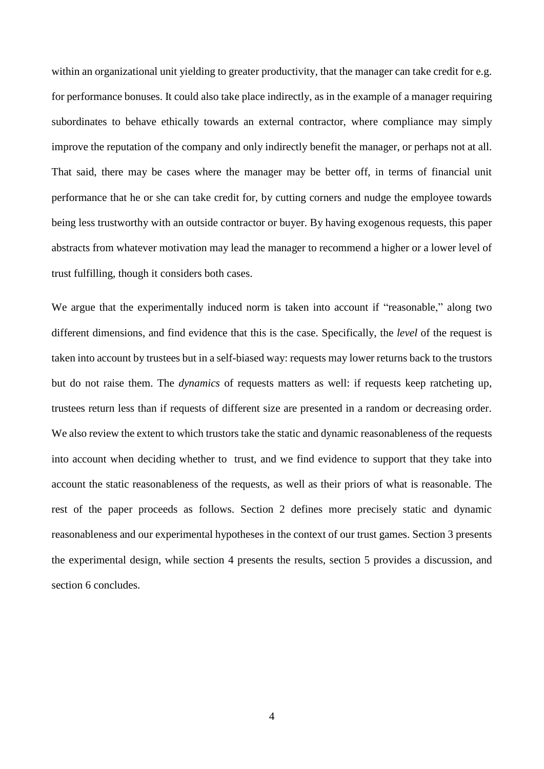within an organizational unit yielding to greater productivity, that the manager can take credit for e.g. for performance bonuses. It could also take place indirectly, as in the example of a manager requiring subordinates to behave ethically towards an external contractor, where compliance may simply improve the reputation of the company and only indirectly benefit the manager, or perhaps not at all. That said, there may be cases where the manager may be better off, in terms of financial unit performance that he or she can take credit for, by cutting corners and nudge the employee towards being less trustworthy with an outside contractor or buyer. By having exogenous requests, this paper abstracts from whatever motivation may lead the manager to recommend a higher or a lower level of trust fulfilling, though it considers both cases.

We argue that the experimentally induced norm is taken into account if "reasonable," along two different dimensions, and find evidence that this is the case. Specifically, the *level* of the request is taken into account by trustees but in a self-biased way: requests may lower returns back to the trustors but do not raise them. The *dynamics* of requests matters as well: if requests keep ratcheting up, trustees return less than if requests of different size are presented in a random or decreasing order. We also review the extent to which trustors take the static and dynamic reasonableness of the requests into account when deciding whether to trust, and we find evidence to support that they take into account the static reasonableness of the requests, as well as their priors of what is reasonable. The rest of the paper proceeds as follows. Section 2 defines more precisely static and dynamic reasonableness and our experimental hypotheses in the context of our trust games. Section 3 presents the experimental design, while section 4 presents the results, section 5 provides a discussion, and section 6 concludes.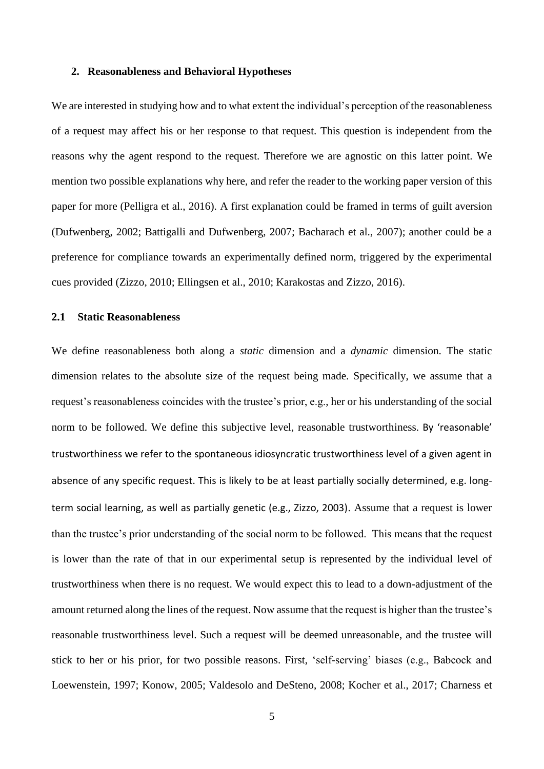#### **2. Reasonableness and Behavioral Hypotheses**

We are interested in studying how and to what extent the individual's perception of the reasonableness of a request may affect his or her response to that request. This question is independent from the reasons why the agent respond to the request. Therefore we are agnostic on this latter point. We mention two possible explanations why here, and refer the reader to the working paper version of this paper for more (Pelligra et al., 2016). A first explanation could be framed in terms of guilt aversion (Dufwenberg, 2002; Battigalli and Dufwenberg, 2007; Bacharach et al., 2007); another could be a preference for compliance towards an experimentally defined norm, triggered by the experimental cues provided (Zizzo, 2010; Ellingsen et al., 2010; Karakostas and Zizzo, 2016).

#### **2.1 Static Reasonableness**

We define reasonableness both along a *static* dimension and a *dynamic* dimension. The static dimension relates to the absolute size of the request being made. Specifically, we assume that a request's reasonableness coincides with the trustee's prior, e.g., her or his understanding of the social norm to be followed. We define this subjective level, reasonable trustworthiness. By 'reasonable' trustworthiness we refer to the spontaneous idiosyncratic trustworthiness level of a given agent in absence of any specific request. This is likely to be at least partially socially determined, e.g. longterm social learning, as well as partially genetic (e.g., Zizzo, 2003). Assume that a request is lower than the trustee's prior understanding of the social norm to be followed. This means that the request is lower than the rate of that in our experimental setup is represented by the individual level of trustworthiness when there is no request. We would expect this to lead to a down-adjustment of the amount returned along the lines of the request. Now assume that the request is higher than the trustee's reasonable trustworthiness level. Such a request will be deemed unreasonable, and the trustee will stick to her or his prior, for two possible reasons. First, 'self-serving' biases (e.g., Babcock and Loewenstein, 1997; Konow, 2005; Valdesolo and DeSteno, 2008; Kocher et al., 2017; Charness et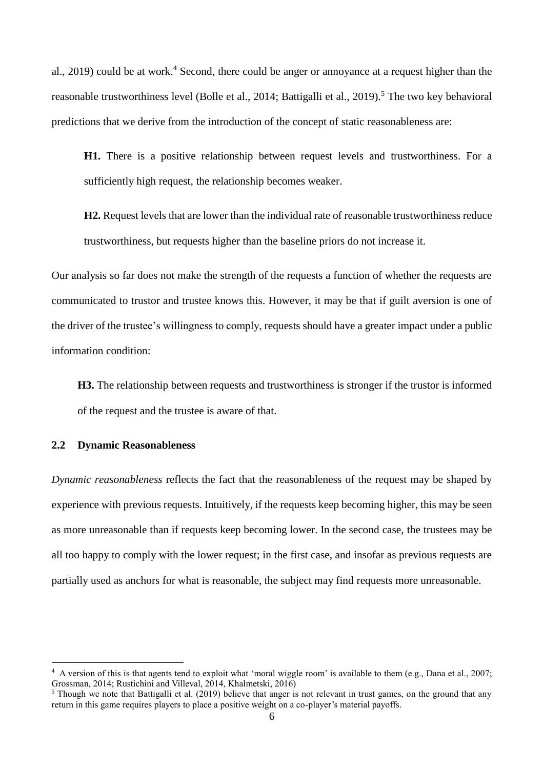al., 2019) could be at work.<sup>4</sup> Second, there could be anger or annoyance at a request higher than the reasonable trustworthiness level (Bolle et al., 2014; Battigalli et al., 2019).<sup>5</sup> The two key behavioral predictions that we derive from the introduction of the concept of static reasonableness are:

**H1.** There is a positive relationship between request levels and trustworthiness. For a sufficiently high request, the relationship becomes weaker.

**H2.** Request levels that are lower than the individual rate of reasonable trustworthiness reduce trustworthiness, but requests higher than the baseline priors do not increase it.

Our analysis so far does not make the strength of the requests a function of whether the requests are communicated to trustor and trustee knows this. However, it may be that if guilt aversion is one of the driver of the trustee's willingness to comply, requests should have a greater impact under a public information condition:

**H3.** The relationship between requests and trustworthiness is stronger if the trustor is informed of the request and the trustee is aware of that.

#### **2.2 Dynamic Reasonableness**

**.** 

*Dynamic reasonableness* reflects the fact that the reasonableness of the request may be shaped by experience with previous requests. Intuitively, if the requests keep becoming higher, this may be seen as more unreasonable than if requests keep becoming lower. In the second case, the trustees may be all too happy to comply with the lower request; in the first case, and insofar as previous requests are partially used as anchors for what is reasonable, the subject may find requests more unreasonable.

<sup>&</sup>lt;sup>4</sup> A version of this is that agents tend to exploit what 'moral wiggle room' is available to them (e.g., Dana et al., 2007; Grossman, 2014; Rustichini and Villeval, 2014, Khalmetski, 2016)

<sup>&</sup>lt;sup>5</sup> Though we note that Battigalli et al. (2019) believe that anger is not relevant in trust games, on the ground that any return in this game requires players to place a positive weight on a co-player's material payoffs.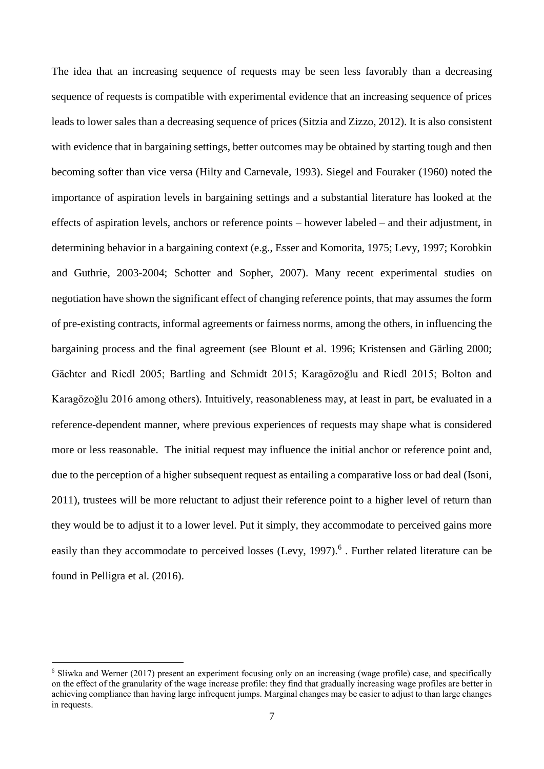The idea that an increasing sequence of requests may be seen less favorably than a decreasing sequence of requests is compatible with experimental evidence that an increasing sequence of prices leads to lower sales than a decreasing sequence of prices (Sitzia and Zizzo, 2012). It is also consistent with evidence that in bargaining settings, better outcomes may be obtained by starting tough and then becoming softer than vice versa (Hilty and Carnevale, 1993). Siegel and Fouraker (1960) noted the importance of aspiration levels in bargaining settings and a substantial literature has looked at the effects of aspiration levels, anchors or reference points – however labeled – and their adjustment, in determining behavior in a bargaining context (e.g., Esser and Komorita, 1975; Levy, 1997; Korobkin and Guthrie, 2003-2004; Schotter and Sopher, 2007). Many recent experimental studies on negotiation have shown the significant effect of changing reference points, that may assumes the form of pre-existing contracts, informal agreements or fairness norms, among the others, in influencing the bargaining process and the final agreement (see Blount et al. 1996; Kristensen and Gärling 2000; Gächter and Riedl 2005; Bartling and Schmidt 2015; Karagözoğlu and Riedl 2015; Bolton and Karagözoğlu 2016 among others). Intuitively, reasonableness may, at least in part, be evaluated in a reference-dependent manner, where previous experiences of requests may shape what is considered more or less reasonable. The initial request may influence the initial anchor or reference point and, due to the perception of a higher subsequent request as entailing a comparative loss or bad deal (Isoni, 2011), trustees will be more reluctant to adjust their reference point to a higher level of return than they would be to adjust it to a lower level. Put it simply, they accommodate to perceived gains more easily than they accommodate to perceived losses (Levy, 1997).<sup>6</sup>. Further related literature can be found in Pelligra et al. (2016).

<sup>6</sup> Sliwka and Werner (2017) present an experiment focusing only on an increasing (wage profile) case, and specifically on the effect of the granularity of the wage increase profile: they find that gradually increasing wage profiles are better in achieving compliance than having large infrequent jumps. Marginal changes may be easier to adjust to than large changes in requests.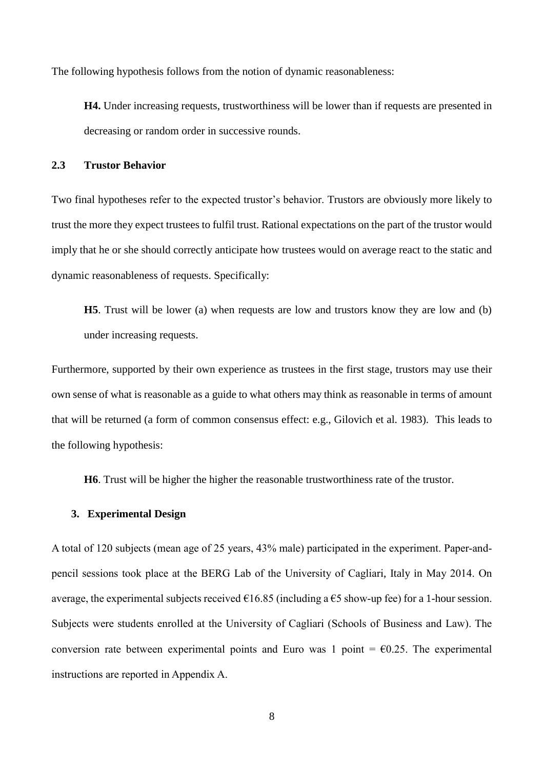The following hypothesis follows from the notion of dynamic reasonableness:

**H4.** Under increasing requests, trustworthiness will be lower than if requests are presented in decreasing or random order in successive rounds.

#### **2.3 Trustor Behavior**

Two final hypotheses refer to the expected trustor's behavior. Trustors are obviously more likely to trust the more they expect trustees to fulfil trust. Rational expectations on the part of the trustor would imply that he or she should correctly anticipate how trustees would on average react to the static and dynamic reasonableness of requests. Specifically:

**H5**. Trust will be lower (a) when requests are low and trustors know they are low and (b) under increasing requests.

Furthermore, supported by their own experience as trustees in the first stage, trustors may use their own sense of what is reasonable as a guide to what others may think as reasonable in terms of amount that will be returned (a form of common consensus effect: e.g., Gilovich et al. 1983). This leads to the following hypothesis:

**H6**. Trust will be higher the higher the reasonable trustworthiness rate of the trustor.

#### **3. Experimental Design**

A total of 120 subjects (mean age of 25 years, 43% male) participated in the experiment. Paper-andpencil sessions took place at the BERG Lab of the University of Cagliari, Italy in May 2014. On average, the experimental subjects received  $\epsilon$ 16.85 (including a  $\epsilon$ 5 show-up fee) for a 1-hour session. Subjects were students enrolled at the University of Cagliari (Schools of Business and Law). The conversion rate between experimental points and Euro was 1 point =  $\epsilon$ 0.25. The experimental instructions are reported in Appendix A.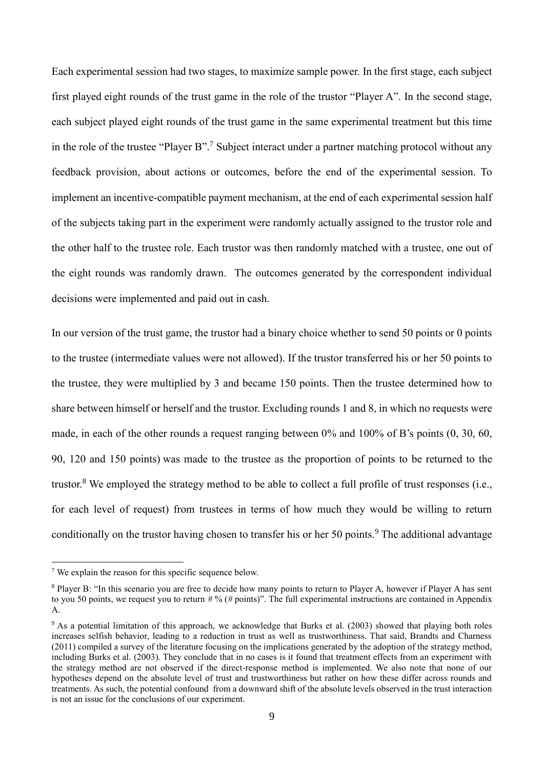Each experimental session had two stages, to maximize sample power. In the first stage, each subject first played eight rounds of the trust game in the role of the trustor "Player A". In the second stage, each subject played eight rounds of the trust game in the same experimental treatment but this time in the role of the trustee "Player B". <sup>7</sup> Subject interact under a partner matching protocol without any feedback provision, about actions or outcomes, before the end of the experimental session. To implement an incentive-compatible payment mechanism, at the end of each experimental session half of the subjects taking part in the experiment were randomly actually assigned to the trustor role and the other half to the trustee role. Each trustor was then randomly matched with a trustee, one out of the eight rounds was randomly drawn. The outcomes generated by the correspondent individual decisions were implemented and paid out in cash.

In our version of the trust game, the trustor had a binary choice whether to send 50 points or 0 points to the trustee (intermediate values were not allowed). If the trustor transferred his or her 50 points to the trustee, they were multiplied by 3 and became 150 points. Then the trustee determined how to share between himself or herself and the trustor. Excluding rounds 1 and 8, in which no requests were made, in each of the other rounds a request ranging between 0% and 100% of B's points (0, 30, 60, 90, 120 and 150 points) was made to the trustee as the proportion of points to be returned to the trustor.<sup>8</sup> We employed the strategy method to be able to collect a full profile of trust responses (i.e., for each level of request) from trustees in terms of how much they would be willing to return conditionally on the trustor having chosen to transfer his or her 50 points.<sup>9</sup> The additional advantage

<sup>7</sup> We explain the reason for this specific sequence below.

<sup>&</sup>lt;sup>8</sup> Player B: "In this scenario you are free to decide how many points to return to Player A, however if Player A has sent to you 50 points, we request you to return *#* % (*#* points)". The full experimental instructions are contained in Appendix A.

<sup>9</sup> As a potential limitation of this approach, we acknowledge that Burks et al. (2003) showed that playing both roles increases selfish behavior, leading to a reduction in trust as well as trustworthiness. That said, Brandts and Charness (2011) compiled a survey of the literature focusing on the implications generated by the adoption of the strategy method, including Burks et al. (2003). They conclude that in no cases is it found that treatment effects from an experiment with the strategy method are not observed if the direct-response method is implemented. We also note that none of our hypotheses depend on the absolute level of trust and trustworthiness but rather on how these differ across rounds and treatments. As such, the potential confound from a downward shift of the absolute levels observed in the trust interaction is not an issue for the conclusions of our experiment.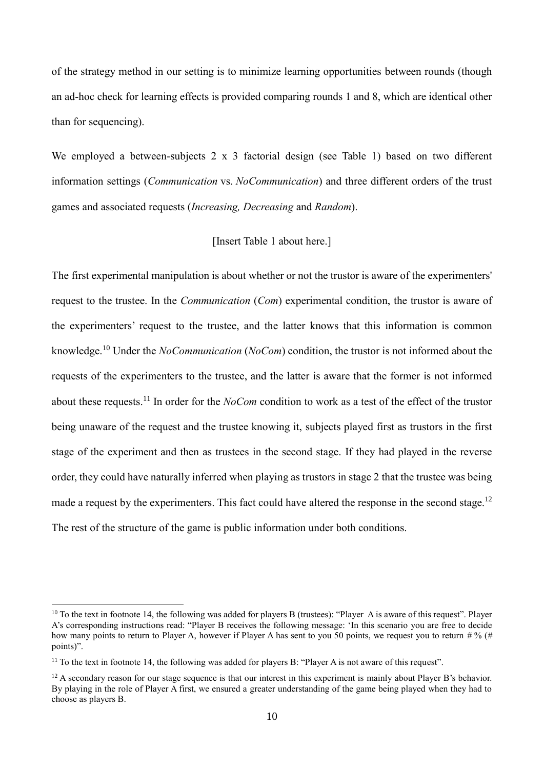of the strategy method in our setting is to minimize learning opportunities between rounds (though an ad-hoc check for learning effects is provided comparing rounds 1 and 8, which are identical other than for sequencing).

We employed a between-subjects 2 x 3 factorial design (see Table 1) based on two different information settings (*Communication* vs. *NoCommunication*) and three different orders of the trust games and associated requests (*Increasing, Decreasing* and *Random*).

#### [Insert Table 1 about here.]

The first experimental manipulation is about whether or not the trustor is aware of the experimenters' request to the trustee. In the *Communication* (*Com*) experimental condition, the trustor is aware of the experimenters' request to the trustee, and the latter knows that this information is common knowledge.<sup>10</sup> Under the *NoCommunication* (*NoCom*) condition, the trustor is not informed about the requests of the experimenters to the trustee, and the latter is aware that the former is not informed about these requests. <sup>11</sup> In order for the *NoCom* condition to work as a test of the effect of the trustor being unaware of the request and the trustee knowing it, subjects played first as trustors in the first stage of the experiment and then as trustees in the second stage. If they had played in the reverse order, they could have naturally inferred when playing as trustors in stage 2 that the trustee was being made a request by the experimenters. This fact could have altered the response in the second stage.<sup>12</sup> The rest of the structure of the game is public information under both conditions.

<sup>&</sup>lt;sup>10</sup> To the text in footnote 14, the following was added for players B (trustees): "Player A is aware of this request". Player A's corresponding instructions read: "Player B receives the following message: 'In this scenario you are free to decide how many points to return to Player A, however if Player A has sent to you 50 points, we request you to return *#* % (*#* points)".

<sup>&</sup>lt;sup>11</sup> To the text in footnote 14, the following was added for players B: "Player A is not aware of this request".

 $12$  A secondary reason for our stage sequence is that our interest in this experiment is mainly about Player B's behavior. By playing in the role of Player A first, we ensured a greater understanding of the game being played when they had to choose as players B.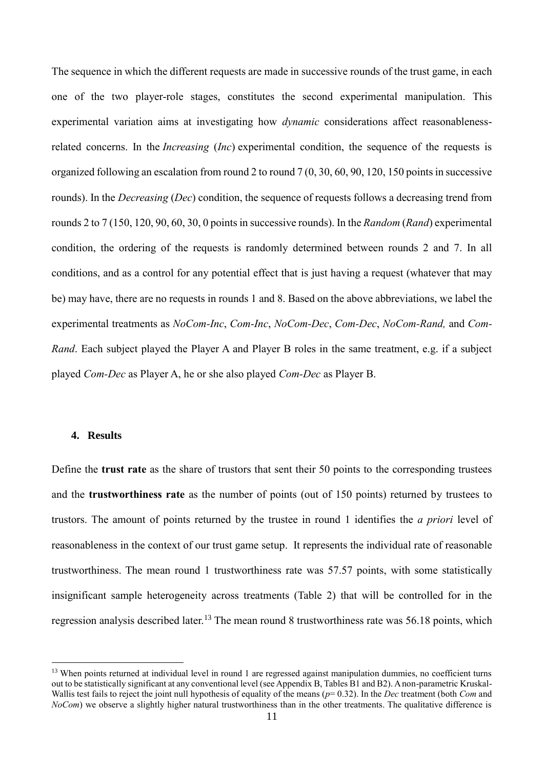The sequence in which the different requests are made in successive rounds of the trust game, in each one of the two player-role stages, constitutes the second experimental manipulation. This experimental variation aims at investigating how *dynamic* considerations affect reasonablenessrelated concerns. In the *Increasing* (*Inc*) experimental condition, the sequence of the requests is organized following an escalation from round 2 to round 7 (0, 30, 60, 90, 120, 150 points in successive rounds). In the *Decreasing* (*Dec*) condition, the sequence of requests follows a decreasing trend from rounds 2 to 7 (150, 120, 90, 60, 30, 0 points in successive rounds). In the *Random* (*Rand*) experimental condition, the ordering of the requests is randomly determined between rounds 2 and 7. In all conditions, and as a control for any potential effect that is just having a request (whatever that may be) may have, there are no requests in rounds 1 and 8. Based on the above abbreviations, we label the experimental treatments as *NoCom-Inc*, *Com-Inc*, *NoCom-Dec*, *Com-Dec*, *NoCom-Rand,* and *Com-Rand*. Each subject played the Player A and Player B roles in the same treatment, e.g. if a subject played *Com-Dec* as Player A, he or she also played *Com-Dec* as Player B.

#### **4. Results**

**.** 

Define the **trust rate** as the share of trustors that sent their 50 points to the corresponding trustees and the **trustworthiness rate** as the number of points (out of 150 points) returned by trustees to trustors. The amount of points returned by the trustee in round 1 identifies the *a priori* level of reasonableness in the context of our trust game setup. It represents the individual rate of reasonable trustworthiness. The mean round 1 trustworthiness rate was 57.57 points, with some statistically insignificant sample heterogeneity across treatments (Table 2) that will be controlled for in the regression analysis described later.<sup>13</sup> The mean round 8 trustworthiness rate was 56.18 points, which

<sup>&</sup>lt;sup>13</sup> When points returned at individual level in round 1 are regressed against manipulation dummies, no coefficient turns out to be statistically significant at any conventional level (see Appendix B, Tables B1 and B2). A non-parametric Kruskal-Wallis test fails to reject the joint null hypothesis of equality of the means (*p*= 0.32). In the *Dec* treatment (both *Com* and *NoCom*) we observe a slightly higher natural trustworthiness than in the other treatments. The qualitative difference is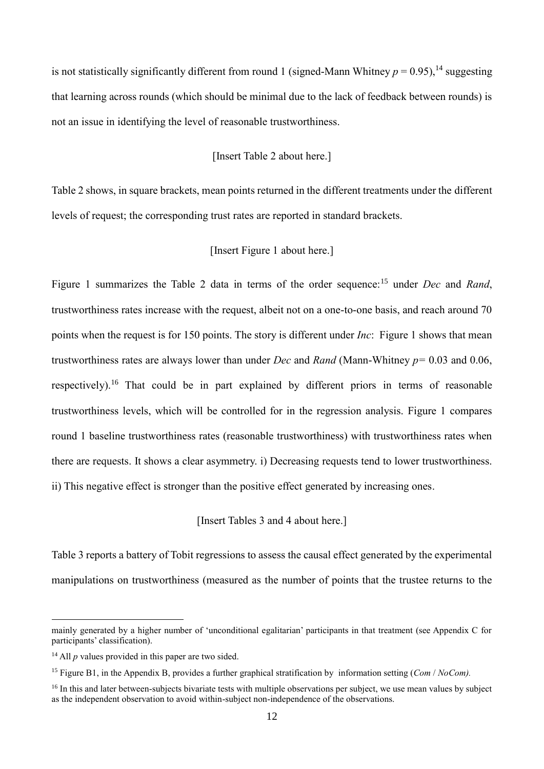is not statistically significantly different from round 1 (signed-Mann Whitney  $p = 0.95$ ), <sup>14</sup> suggesting that learning across rounds (which should be minimal due to the lack of feedback between rounds) is not an issue in identifying the level of reasonable trustworthiness.

#### [Insert Table 2 about here.]

Table 2 shows, in square brackets, mean points returned in the different treatments under the different levels of request; the corresponding trust rates are reported in standard brackets.

#### [Insert Figure 1 about here.]

Figure 1 summarizes the Table 2 data in terms of the order sequence:<sup>15</sup> under *Dec* and *Rand*, trustworthiness rates increase with the request, albeit not on a one-to-one basis, and reach around 70 points when the request is for 150 points. The story is different under *Inc*: Figure 1 shows that mean trustworthiness rates are always lower than under *Dec* and *Rand* (Mann-Whitney *p=* 0.03 and 0.06, respectively).<sup>16</sup> That could be in part explained by different priors in terms of reasonable trustworthiness levels, which will be controlled for in the regression analysis. Figure 1 compares round 1 baseline trustworthiness rates (reasonable trustworthiness) with trustworthiness rates when there are requests. It shows a clear asymmetry. i) Decreasing requests tend to lower trustworthiness. ii) This negative effect is stronger than the positive effect generated by increasing ones.

[Insert Tables 3 and 4 about here.]

Table 3 reports a battery of Tobit regressions to assess the causal effect generated by the experimental manipulations on trustworthiness (measured as the number of points that the trustee returns to the

mainly generated by a higher number of 'unconditional egalitarian' participants in that treatment (see Appendix C for participants' classification).

<sup>&</sup>lt;sup>14</sup> All *p* values provided in this paper are two sided.

<sup>15</sup> Figure B1, in the Appendix B, provides a further graphical stratification by information setting (*Com* / *NoCom).*

<sup>&</sup>lt;sup>16</sup> In this and later between-subjects bivariate tests with multiple observations per subject, we use mean values by subject as the independent observation to avoid within-subject non-independence of the observations.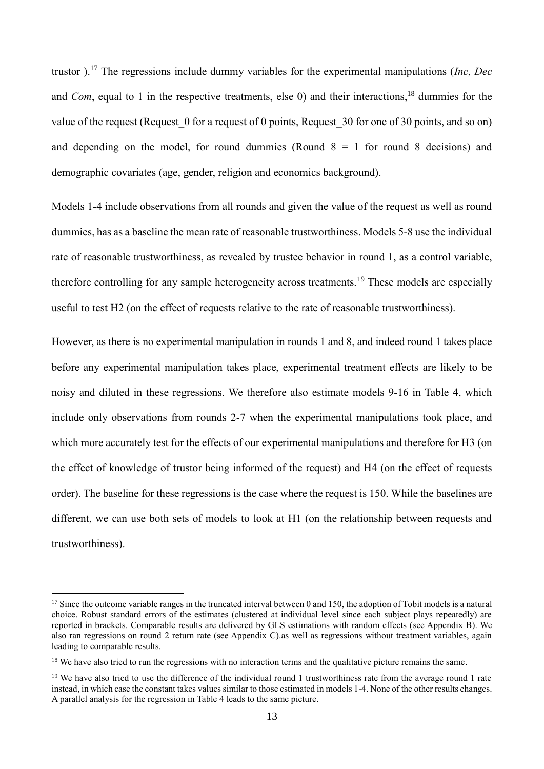trustor ). <sup>17</sup> The regressions include dummy variables for the experimental manipulations (*Inc*, *Dec* and *Com*, equal to 1 in the respective treatments, else 0) and their interactions, <sup>18</sup> dummies for the value of the request (Request 0 for a request of 0 points, Request 30 for one of 30 points, and so on) and depending on the model, for round dummies (Round  $8 = 1$  for round 8 decisions) and demographic covariates (age, gender, religion and economics background).

Models 1-4 include observations from all rounds and given the value of the request as well as round dummies, has as a baseline the mean rate of reasonable trustworthiness. Models 5-8 use the individual rate of reasonable trustworthiness, as revealed by trustee behavior in round 1, as a control variable, therefore controlling for any sample heterogeneity across treatments.<sup>19</sup> These models are especially useful to test H2 (on the effect of requests relative to the rate of reasonable trustworthiness).

However, as there is no experimental manipulation in rounds 1 and 8, and indeed round 1 takes place before any experimental manipulation takes place, experimental treatment effects are likely to be noisy and diluted in these regressions. We therefore also estimate models 9-16 in Table 4, which include only observations from rounds 2-7 when the experimental manipulations took place, and which more accurately test for the effects of our experimental manipulations and therefore for H3 (on the effect of knowledge of trustor being informed of the request) and H4 (on the effect of requests order). The baseline for these regressions is the case where the request is 150. While the baselines are different, we can use both sets of models to look at H1 (on the relationship between requests and trustworthiness).

 $17$  Since the outcome variable ranges in the truncated interval between 0 and 150, the adoption of Tobit models is a natural choice. Robust standard errors of the estimates (clustered at individual level since each subject plays repeatedly) are reported in brackets. Comparable results are delivered by GLS estimations with random effects (see Appendix B). We also ran regressions on round 2 return rate (see Appendix C).as well as regressions without treatment variables, again leading to comparable results.

<sup>&</sup>lt;sup>18</sup> We have also tried to run the regressions with no interaction terms and the qualitative picture remains the same.

 $19$  We have also tried to use the difference of the individual round 1 trustworthiness rate from the average round 1 rate instead, in which case the constant takes values similar to those estimated in models 1-4. None of the other results changes. A parallel analysis for the regression in Table 4 leads to the same picture.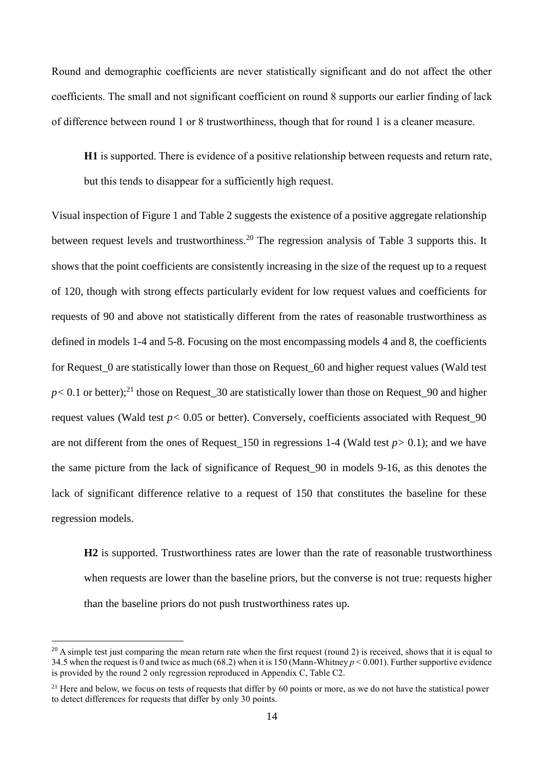Round and demographic coefficients are never statistically significant and do not affect the other coefficients. The small and not significant coefficient on round 8 supports our earlier finding of lack of difference between round 1 or 8 trustworthiness, though that for round 1 is a cleaner measure.

**H1** is supported. There is evidence of a positive relationship between requests and return rate, but this tends to disappear for a sufficiently high request.

Visual inspection of Figure 1 and Table 2 suggests the existence of a positive aggregate relationship between request levels and trustworthiness.<sup>20</sup> The regression analysis of Table 3 supports this. It shows that the point coefficients are consistently increasing in the size of the request up to a request of 120, though with strong effects particularly evident for low request values and coefficients for requests of 90 and above not statistically different from the rates of reasonable trustworthiness as defined in models 1-4 and 5-8. Focusing on the most encompassing models 4 and 8, the coefficients for Request\_0 are statistically lower than those on Request\_60 and higher request values (Wald test  $p$  < 0.1 or better);<sup>21</sup> those on Request\_30 are statistically lower than those on Request\_90 and higher request values (Wald test *p*< 0.05 or better). Conversely, coefficients associated with Request 90 are not different from the ones of Request\_150 in regressions 1-4 (Wald test *p>* 0.1); and we have the same picture from the lack of significance of Request\_90 in models 9-16, as this denotes the lack of significant difference relative to a request of 150 that constitutes the baseline for these regression models.

**H2** is supported. Trustworthiness rates are lower than the rate of reasonable trustworthiness when requests are lower than the baseline priors, but the converse is not true: requests higher than the baseline priors do not push trustworthiness rates up.

 $20$  A simple test just comparing the mean return rate when the first request (round 2) is received, shows that it is equal to 34.5 when the request is 0 and twice as much (68.2) when it is 150 (Mann-Whitney *p* < 0.001). Further supportive evidence is provided by the round 2 only regression reproduced in Appendix C, Table C2.

<sup>&</sup>lt;sup>21</sup> Here and below, we focus on tests of requests that differ by 60 points or more, as we do not have the statistical power to detect differences for requests that differ by only 30 points.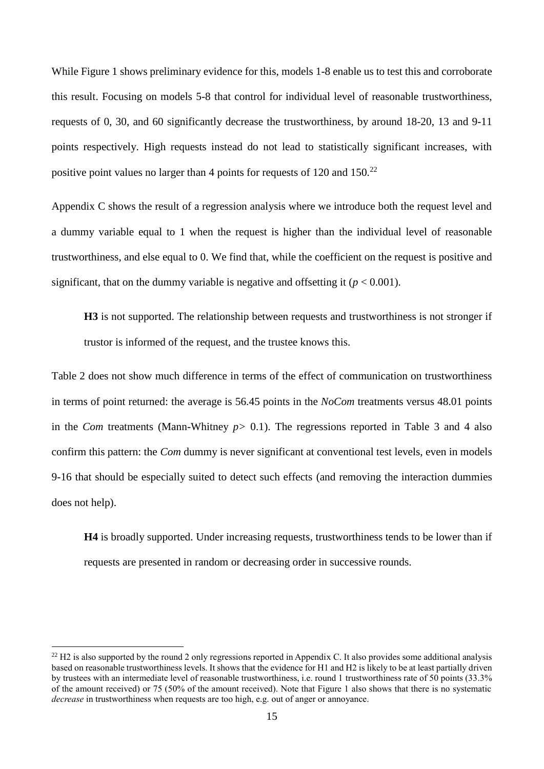While Figure 1 shows preliminary evidence for this, models 1-8 enable us to test this and corroborate this result. Focusing on models 5-8 that control for individual level of reasonable trustworthiness, requests of 0, 30, and 60 significantly decrease the trustworthiness, by around 18-20, 13 and 9-11 points respectively. High requests instead do not lead to statistically significant increases, with positive point values no larger than 4 points for requests of 120 and 150.<sup>22</sup>

Appendix C shows the result of a regression analysis where we introduce both the request level and a dummy variable equal to 1 when the request is higher than the individual level of reasonable trustworthiness, and else equal to 0. We find that, while the coefficient on the request is positive and significant, that on the dummy variable is negative and offsetting it  $(p < 0.001)$ .

**H3** is not supported. The relationship between requests and trustworthiness is not stronger if trustor is informed of the request, and the trustee knows this.

Table 2 does not show much difference in terms of the effect of communication on trustworthiness in terms of point returned: the average is 56.45 points in the *NoCom* treatments versus 48.01 points in the *Com* treatments (Mann-Whitney *p>* 0.1). The regressions reported in Table 3 and 4 also confirm this pattern: the *Com* dummy is never significant at conventional test levels, even in models 9-16 that should be especially suited to detect such effects (and removing the interaction dummies does not help).

**H4** is broadly supported. Under increasing requests, trustworthiness tends to be lower than if requests are presented in random or decreasing order in successive rounds.

 $22$  H2 is also supported by the round 2 only regressions reported in Appendix C. It also provides some additional analysis based on reasonable trustworthiness levels. It shows that the evidence for H1 and H2 is likely to be at least partially driven by trustees with an intermediate level of reasonable trustworthiness, i.e. round 1 trustworthiness rate of 50 points (33.3% of the amount received) or 75 (50% of the amount received). Note that Figure 1 also shows that there is no systematic *decrease* in trustworthiness when requests are too high, e.g. out of anger or annoyance.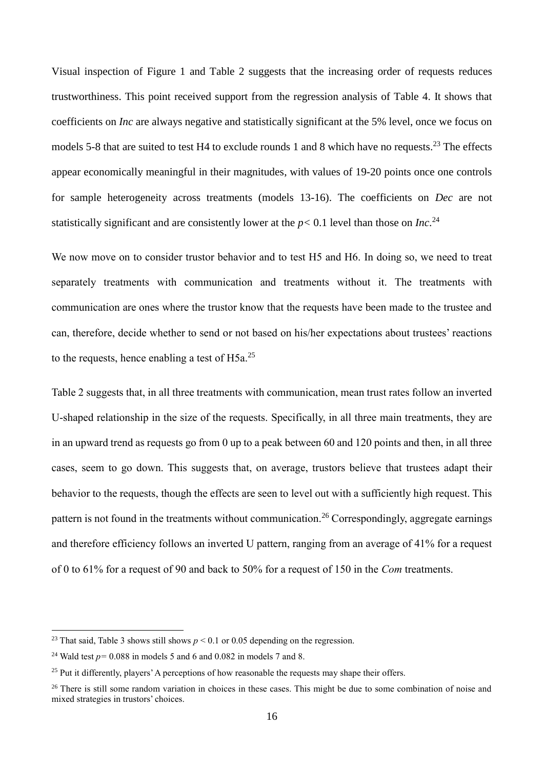Visual inspection of Figure 1 and Table 2 suggests that the increasing order of requests reduces trustworthiness. This point received support from the regression analysis of Table 4. It shows that coefficients on *Inc* are always negative and statistically significant at the 5% level, once we focus on models 5-8 that are suited to test H4 to exclude rounds 1 and 8 which have no requests.<sup>23</sup> The effects appear economically meaningful in their magnitudes, with values of 19-20 points once one controls for sample heterogeneity across treatments (models 13-16). The coefficients on *Dec* are not statistically significant and are consistently lower at the  $p < 0.1$  level than those on *Inc*.<sup>24</sup>

We now move on to consider trustor behavior and to test H5 and H6. In doing so, we need to treat separately treatments with communication and treatments without it. The treatments with communication are ones where the trustor know that the requests have been made to the trustee and can, therefore, decide whether to send or not based on his/her expectations about trustees' reactions to the requests, hence enabling a test of  $H5a$ <sup>25</sup>

Table 2 suggests that, in all three treatments with communication, mean trust rates follow an inverted U-shaped relationship in the size of the requests. Specifically, in all three main treatments, they are in an upward trend as requests go from 0 up to a peak between 60 and 120 points and then, in all three cases, seem to go down. This suggests that, on average, trustors believe that trustees adapt their behavior to the requests, though the effects are seen to level out with a sufficiently high request. This pattern is not found in the treatments without communication.<sup>26</sup> Correspondingly, aggregate earnings and therefore efficiency follows an inverted U pattern, ranging from an average of 41% for a request of 0 to 61% for a request of 90 and back to 50% for a request of 150 in the *Com* treatments.

<sup>&</sup>lt;sup>23</sup> That said, Table 3 shows still shows  $p < 0.1$  or 0.05 depending on the regression.

<sup>&</sup>lt;sup>24</sup> Wald test  $p = 0.088$  in models 5 and 6 and 0.082 in models 7 and 8.

<sup>&</sup>lt;sup>25</sup> Put it differently, players' A perceptions of how reasonable the requests may shape their offers.

<sup>&</sup>lt;sup>26</sup> There is still some random variation in choices in these cases. This might be due to some combination of noise and mixed strategies in trustors' choices.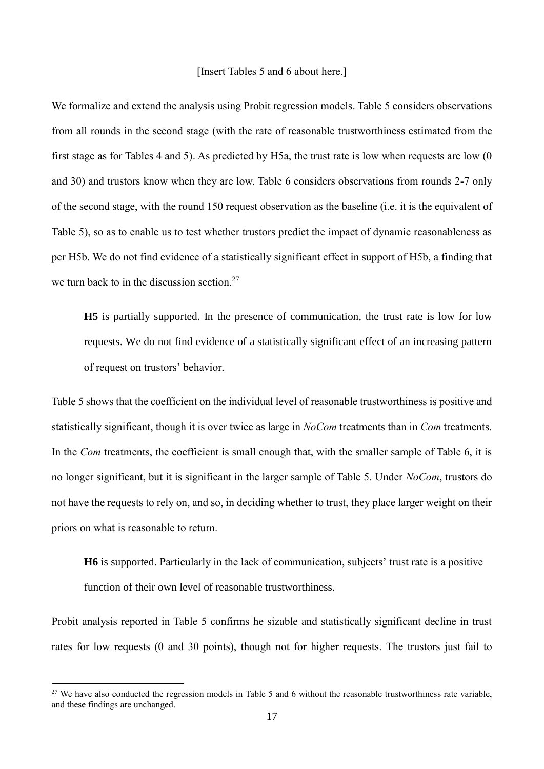#### [Insert Tables 5 and 6 about here.]

We formalize and extend the analysis using Probit regression models. Table 5 considers observations from all rounds in the second stage (with the rate of reasonable trustworthiness estimated from the first stage as for Tables 4 and 5). As predicted by H5a, the trust rate is low when requests are low (0 and 30) and trustors know when they are low. Table 6 considers observations from rounds 2-7 only of the second stage, with the round 150 request observation as the baseline (i.e. it is the equivalent of Table 5), so as to enable us to test whether trustors predict the impact of dynamic reasonableness as per H5b. We do not find evidence of a statistically significant effect in support of H5b, a finding that we turn back to in the discussion section.<sup>27</sup>

**H5** is partially supported. In the presence of communication, the trust rate is low for low requests. We do not find evidence of a statistically significant effect of an increasing pattern of request on trustors' behavior.

Table 5 shows that the coefficient on the individual level of reasonable trustworthiness is positive and statistically significant, though it is over twice as large in *NoCom* treatments than in *Com* treatments. In the *Com* treatments, the coefficient is small enough that, with the smaller sample of Table 6, it is no longer significant, but it is significant in the larger sample of Table 5. Under *NoCom*, trustors do not have the requests to rely on, and so, in deciding whether to trust, they place larger weight on their priors on what is reasonable to return.

**H6** is supported. Particularly in the lack of communication, subjects' trust rate is a positive function of their own level of reasonable trustworthiness.

Probit analysis reported in Table 5 confirms he sizable and statistically significant decline in trust rates for low requests (0 and 30 points), though not for higher requests. The trustors just fail to

 $27$  We have also conducted the regression models in Table 5 and 6 without the reasonable trustworthiness rate variable, and these findings are unchanged.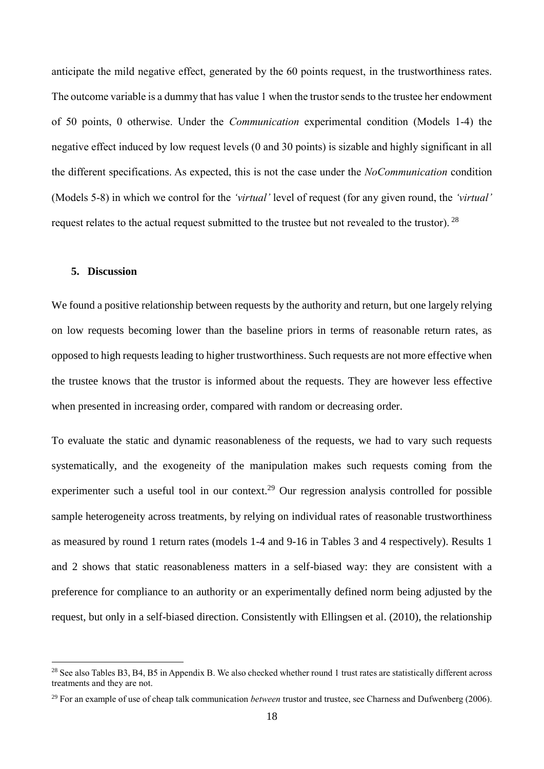anticipate the mild negative effect, generated by the 60 points request, in the trustworthiness rates. The outcome variable is a dummy that has value 1 when the trustor sends to the trustee her endowment of 50 points, 0 otherwise. Under the *Communication* experimental condition (Models 1-4) the negative effect induced by low request levels (0 and 30 points) is sizable and highly significant in all the different specifications. As expected, this is not the case under the *NoCommunication* condition (Models 5-8) in which we control for the *'virtual'* level of request (for any given round, the *'virtual'* request relates to the actual request submitted to the trustee but not revealed to the trustor). <sup>28</sup>

#### **5. Discussion**

**.** 

We found a positive relationship between requests by the authority and return, but one largely relying on low requests becoming lower than the baseline priors in terms of reasonable return rates, as opposed to high requests leading to higher trustworthiness. Such requests are not more effective when the trustee knows that the trustor is informed about the requests. They are however less effective when presented in increasing order, compared with random or decreasing order.

To evaluate the static and dynamic reasonableness of the requests, we had to vary such requests systematically, and the exogeneity of the manipulation makes such requests coming from the experimenter such a useful tool in our context.<sup>29</sup> Our regression analysis controlled for possible sample heterogeneity across treatments, by relying on individual rates of reasonable trustworthiness as measured by round 1 return rates (models 1-4 and 9-16 in Tables 3 and 4 respectively). Results 1 and 2 shows that static reasonableness matters in a self-biased way: they are consistent with a preference for compliance to an authority or an experimentally defined norm being adjusted by the request, but only in a self-biased direction. Consistently with Ellingsen et al. (2010), the relationship

<sup>&</sup>lt;sup>28</sup> See also Tables B3, B4, B5 in Appendix B. We also checked whether round 1 trust rates are statistically different across treatments and they are not.

<sup>29</sup> For an example of use of cheap talk communication *between* trustor and trustee, see Charness and Dufwenberg (2006).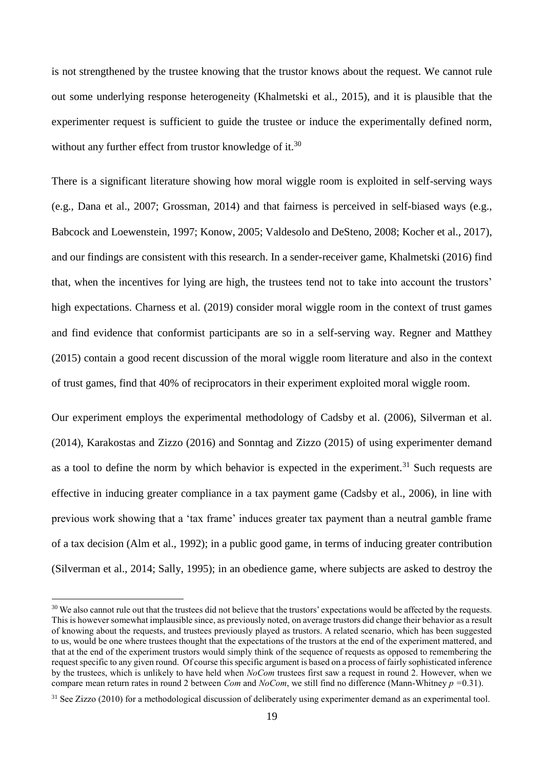is not strengthened by the trustee knowing that the trustor knows about the request. We cannot rule out some underlying response heterogeneity (Khalmetski et al., 2015), and it is plausible that the experimenter request is sufficient to guide the trustee or induce the experimentally defined norm, without any further effect from trustor knowledge of it.<sup>30</sup>

There is a significant literature showing how moral wiggle room is exploited in self-serving ways (e.g., Dana et al., 2007; Grossman, 2014) and that fairness is perceived in self-biased ways (e.g., Babcock and Loewenstein, 1997; Konow, 2005; Valdesolo and DeSteno, 2008; Kocher et al., 2017), and our findings are consistent with this research. In a sender-receiver game, Khalmetski (2016) find that, when the incentives for lying are high, the trustees tend not to take into account the trustors' high expectations. Charness et al. (2019) consider moral wiggle room in the context of trust games and find evidence that conformist participants are so in a self-serving way. Regner and Matthey (2015) contain a good recent discussion of the moral wiggle room literature and also in the context of trust games, find that 40% of reciprocators in their experiment exploited moral wiggle room.

Our experiment employs the experimental methodology of Cadsby et al. (2006), Silverman et al. (2014), Karakostas and Zizzo (2016) and Sonntag and Zizzo (2015) of using experimenter demand as a tool to define the norm by which behavior is expected in the experiment.<sup>31</sup> Such requests are effective in inducing greater compliance in a tax payment game (Cadsby et al., 2006), in line with previous work showing that a 'tax frame' induces greater tax payment than a neutral gamble frame of a tax decision (Alm et al., 1992); in a public good game, in terms of inducing greater contribution (Silverman et al., 2014; Sally, 1995); in an obedience game, where subjects are asked to destroy the

<sup>&</sup>lt;sup>30</sup> We also cannot rule out that the trustees did not believe that the trustors' expectations would be affected by the requests. This is however somewhat implausible since, as previously noted, on average trustors did change their behavior as a result of knowing about the requests, and trustees previously played as trustors. A related scenario, which has been suggested to us, would be one where trustees thought that the expectations of the trustors at the end of the experiment mattered, and that at the end of the experiment trustors would simply think of the sequence of requests as opposed to remembering the request specific to any given round. Of course this specific argument is based on a process of fairly sophisticated inference by the trustees, which is unlikely to have held when *NoCom* trustees first saw a request in round 2. However, when we compare mean return rates in round 2 between *Com* and *NoCom*, we still find no difference (Mann-Whitney *p =*0.31).

<sup>&</sup>lt;sup>31</sup> See Zizzo (2010) for a methodological discussion of deliberately using experimenter demand as an experimental tool.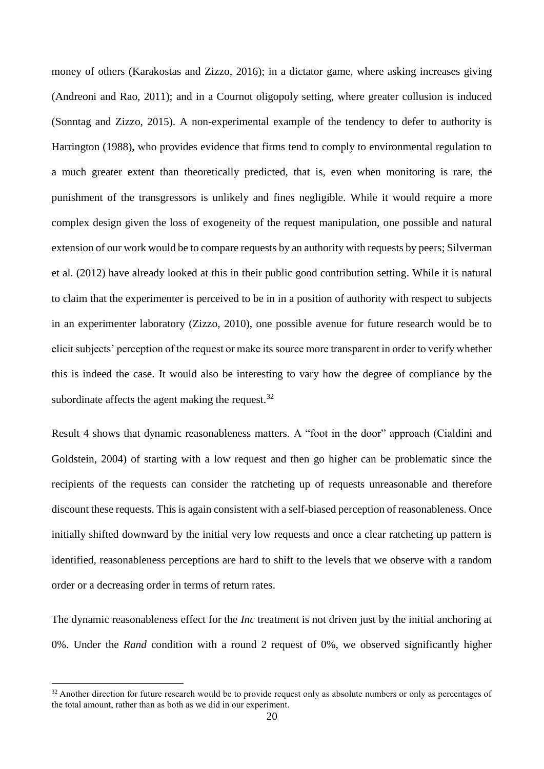money of others (Karakostas and Zizzo, 2016); in a dictator game, where asking increases giving (Andreoni and Rao, 2011); and in a Cournot oligopoly setting, where greater collusion is induced (Sonntag and Zizzo, 2015). A non-experimental example of the tendency to defer to authority is Harrington (1988), who provides evidence that firms tend to comply to environmental regulation to a much greater extent than theoretically predicted, that is, even when monitoring is rare, the punishment of the transgressors is unlikely and fines negligible. While it would require a more complex design given the loss of exogeneity of the request manipulation, one possible and natural extension of our work would be to compare requests by an authority with requests by peers; Silverman et al. (2012) have already looked at this in their public good contribution setting. While it is natural to claim that the experimenter is perceived to be in in a position of authority with respect to subjects in an experimenter laboratory (Zizzo, 2010), one possible avenue for future research would be to elicit subjects' perception of the request or make its source more transparent in order to verify whether this is indeed the case. It would also be interesting to vary how the degree of compliance by the subordinate affects the agent making the request. $32$ 

Result 4 shows that dynamic reasonableness matters. A "foot in the door" approach (Cialdini and Goldstein, 2004) of starting with a low request and then go higher can be problematic since the recipients of the requests can consider the ratcheting up of requests unreasonable and therefore discount these requests. This is again consistent with a self-biased perception of reasonableness. Once initially shifted downward by the initial very low requests and once a clear ratcheting up pattern is identified, reasonableness perceptions are hard to shift to the levels that we observe with a random order or a decreasing order in terms of return rates.

The dynamic reasonableness effect for the *Inc* treatment is not driven just by the initial anchoring at 0%. Under the *Rand* condition with a round 2 request of 0%, we observed significantly higher

<sup>&</sup>lt;sup>32</sup> Another direction for future research would be to provide request only as absolute numbers or only as percentages of the total amount, rather than as both as we did in our experiment.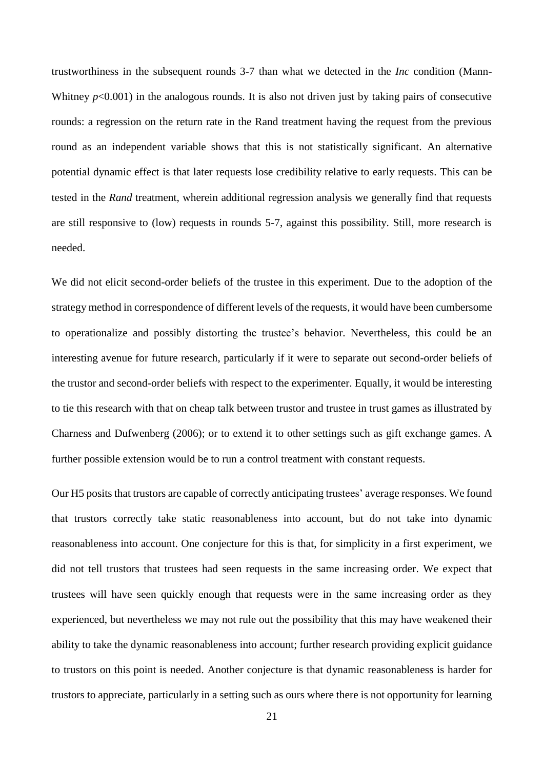trustworthiness in the subsequent rounds 3-7 than what we detected in the *Inc* condition (Mann-Whitney  $p<0.001$ ) in the analogous rounds. It is also not driven just by taking pairs of consecutive rounds: a regression on the return rate in the Rand treatment having the request from the previous round as an independent variable shows that this is not statistically significant. An alternative potential dynamic effect is that later requests lose credibility relative to early requests. This can be tested in the *Rand* treatment, wherein additional regression analysis we generally find that requests are still responsive to (low) requests in rounds 5-7, against this possibility. Still, more research is needed.

We did not elicit second-order beliefs of the trustee in this experiment. Due to the adoption of the strategy method in correspondence of different levels of the requests, it would have been cumbersome to operationalize and possibly distorting the trustee's behavior. Nevertheless, this could be an interesting avenue for future research, particularly if it were to separate out second-order beliefs of the trustor and second-order beliefs with respect to the experimenter. Equally, it would be interesting to tie this research with that on cheap talk between trustor and trustee in trust games as illustrated by Charness and Dufwenberg (2006); or to extend it to other settings such as gift exchange games. A further possible extension would be to run a control treatment with constant requests.

Our H5 posits that trustors are capable of correctly anticipating trustees' average responses. We found that trustors correctly take static reasonableness into account, but do not take into dynamic reasonableness into account. One conjecture for this is that, for simplicity in a first experiment, we did not tell trustors that trustees had seen requests in the same increasing order. We expect that trustees will have seen quickly enough that requests were in the same increasing order as they experienced, but nevertheless we may not rule out the possibility that this may have weakened their ability to take the dynamic reasonableness into account; further research providing explicit guidance to trustors on this point is needed. Another conjecture is that dynamic reasonableness is harder for trustors to appreciate, particularly in a setting such as ours where there is not opportunity for learning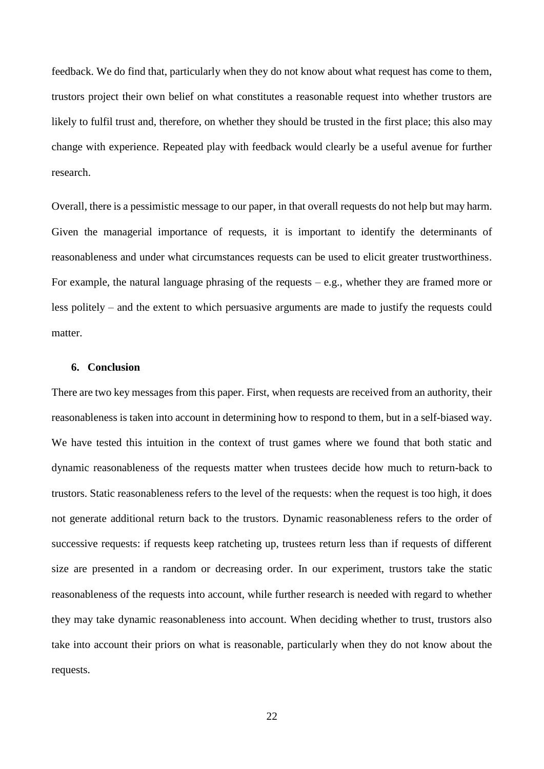feedback. We do find that, particularly when they do not know about what request has come to them, trustors project their own belief on what constitutes a reasonable request into whether trustors are likely to fulfil trust and, therefore, on whether they should be trusted in the first place; this also may change with experience. Repeated play with feedback would clearly be a useful avenue for further research.

Overall, there is a pessimistic message to our paper, in that overall requests do not help but may harm. Given the managerial importance of requests, it is important to identify the determinants of reasonableness and under what circumstances requests can be used to elicit greater trustworthiness. For example, the natural language phrasing of the requests  $-e.g.,$  whether they are framed more or less politely – and the extent to which persuasive arguments are made to justify the requests could matter.

#### **6. Conclusion**

There are two key messages from this paper. First, when requests are received from an authority, their reasonableness is taken into account in determining how to respond to them, but in a self-biased way. We have tested this intuition in the context of trust games where we found that both static and dynamic reasonableness of the requests matter when trustees decide how much to return-back to trustors. Static reasonableness refers to the level of the requests: when the request is too high, it does not generate additional return back to the trustors. Dynamic reasonableness refers to the order of successive requests: if requests keep ratcheting up, trustees return less than if requests of different size are presented in a random or decreasing order. In our experiment, trustors take the static reasonableness of the requests into account, while further research is needed with regard to whether they may take dynamic reasonableness into account. When deciding whether to trust, trustors also take into account their priors on what is reasonable, particularly when they do not know about the requests.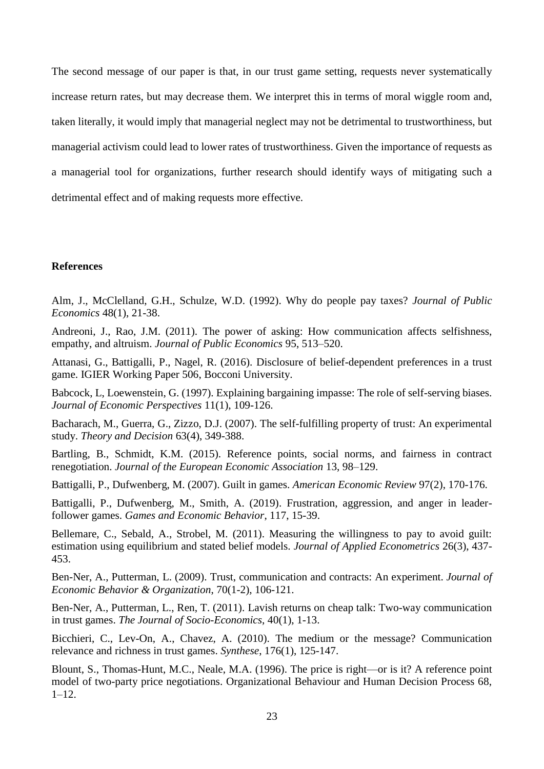The second message of our paper is that, in our trust game setting, requests never systematically increase return rates, but may decrease them. We interpret this in terms of moral wiggle room and, taken literally, it would imply that managerial neglect may not be detrimental to trustworthiness, but managerial activism could lead to lower rates of trustworthiness. Given the importance of requests as a managerial tool for organizations, further research should identify ways of mitigating such a detrimental effect and of making requests more effective.

#### **References**

Alm, J., McClelland, G.H., Schulze, W.D. (1992). Why do people pay taxes? *Journal of Public Economics* 48(1), 21-38.

Andreoni, J., Rao, J.M. (2011). The power of asking: How communication affects selfishness, empathy, and altruism. *Journal of Public Economics* 95, 513–520.

Attanasi, G., Battigalli, P., Nagel, R. (2016). Disclosure of belief-dependent preferences in a trust game. IGIER Working Paper 506, Bocconi University.

Babcock, L, Loewenstein, G. (1997). Explaining bargaining impasse: The role of self-serving biases. *Journal of Economic Perspectives* 11(1), 109-126.

Bacharach, M., Guerra, G., Zizzo, D.J. (2007). The self-fulfilling property of trust: An experimental study. *Theory and Decision* 63(4), 349-388.

Bartling, B., Schmidt, K.M. (2015). Reference points, social norms, and fairness in contract renegotiation. *Journal of the European Economic Association* 13, 98–129.

Battigalli, P., Dufwenberg, M. (2007). Guilt in games. *American Economic Review* 97(2), 170-176.

Battigalli, P., Dufwenberg, M., Smith, A. (2019). Frustration, aggression, and anger in leaderfollower games. *Games and Economic Behavior*, 117, 15-39.

Bellemare, C., Sebald, A., Strobel, M. (2011). Measuring the willingness to pay to avoid guilt: estimation using equilibrium and stated belief models. *Journal of Applied Econometrics* 26(3), 437- 453.

Ben-Ner, A., Putterman, L. (2009). Trust, communication and contracts: An experiment. *Journal of Economic Behavior & Organization*, 70(1-2), 106-121.

Ben-Ner, A., Putterman, L., Ren, T. (2011). Lavish returns on cheap talk: Two-way communication in trust games. *The Journal of Socio-Economics*, 40(1), 1-13.

Bicchieri, C., Lev-On, A., Chavez, A. (2010). The medium or the message? Communication relevance and richness in trust games. *Synthese*, 176(1), 125-147.

Blount, S., Thomas-Hunt, M.C., Neale, M.A. (1996). The price is right—or is it? A reference point model of two-party price negotiations. Organizational Behaviour and Human Decision Process 68,  $1-12.$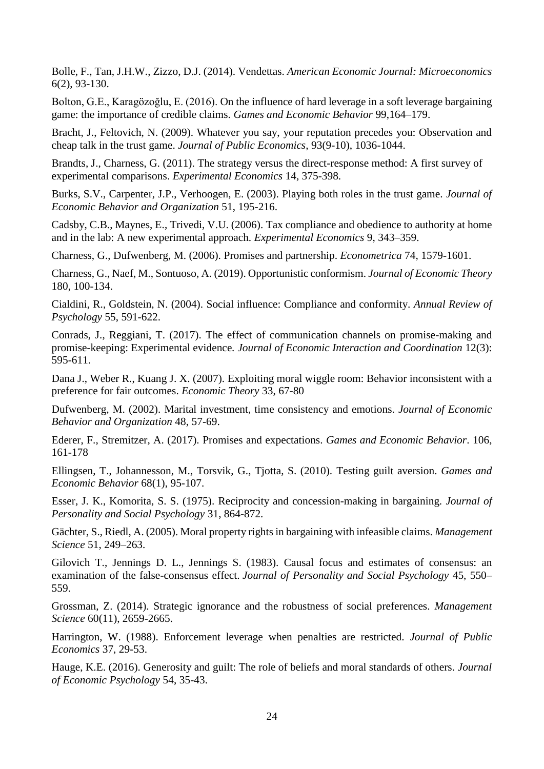Bolle, F., Tan, J.H.W., Zizzo, D.J. (2014). Vendettas. *American Economic Journal: Microeconomics* 6(2), 93-130.

Bolton, G.E., Karagözoğlu, E. (2016). On the influence of hard leverage in a soft leverage bargaining game: the importance of credible claims. *Games and Economic Behavior* 99,164–179.

Bracht, J., Feltovich, N. (2009). Whatever you say, your reputation precedes you: Observation and cheap talk in the trust game. *Journal of Public Economics*, 93(9-10), 1036-1044.

Brandts, J., Charness, G. (2011). The strategy versus the direct-response method: A first survey of experimental comparisons. *Experimental Economics* 14, 375-398.

Burks, S.V., Carpenter, J.P., Verhoogen, E. (2003). Playing both roles in the trust game. *Journal of Economic Behavior and Organization* 51, 195-216.

Cadsby, C.B., Maynes, E., Trivedi, V.U. (2006). Tax compliance and obedience to authority at home and in the lab: A new experimental approach. *Experimental Economics* 9, 343–359.

Charness, G., Dufwenberg, M. (2006). Promises and partnership. *Econometrica* 74, 1579-1601.

Charness, G., Naef, M., Sontuoso, A. (2019). Opportunistic conformism. *Journal of Economic Theory* 180, 100-134.

Cialdini, R., Goldstein, N. (2004). Social influence: Compliance and conformity. *Annual Review of Psychology* 55, 591-622.

Conrads, J., Reggiani, T. (2017). The effect of communication channels on promise-making and promise-keeping: Experimental evidence*. Journal of Economic Interaction and Coordination* 12(3): 595-611.

Dana J., Weber R., Kuang J. X. (2007). Exploiting moral wiggle room: Behavior inconsistent with a preference for fair outcomes. *Economic Theory* 33, 67-80

Dufwenberg, M. (2002). Marital investment, time consistency and emotions. *Journal of Economic Behavior and Organization* 48, 57-69.

Ederer, F., Stremitzer, A. (2017). Promises and expectations. *Games and Economic Behavior*. 106, 161-178

Ellingsen, T., Johannesson, M., Torsvik, G., Tjotta, S. (2010). Testing guilt aversion. *Games and Economic Behavior* 68(1), 95-107.

Esser, J. K., Komorita, S. S. (1975). Reciprocity and concession-making in bargaining. *Journal of Personality and Social Psychology* 31, 864-872.

Gächter, S., Riedl, A. (2005). Moral property rights in bargaining with infeasible claims. *Management Science* 51, 249–263.

Gilovich T., Jennings D. L., Jennings S. (1983). Causal focus and estimates of consensus: an examination of the false-consensus effect. *Journal of Personality and Social Psychology* 45, 550– 559.

Grossman, Z. (2014). Strategic ignorance and the robustness of social preferences. *Management Science* 60(11), 2659-2665.

Harrington, W. (1988). Enforcement leverage when penalties are restricted. *Journal of Public Economics* 37, 29-53.

Hauge, K.E. (2016). Generosity and guilt: The role of beliefs and moral standards of others. *Journal of Economic Psychology* 54, 35-43.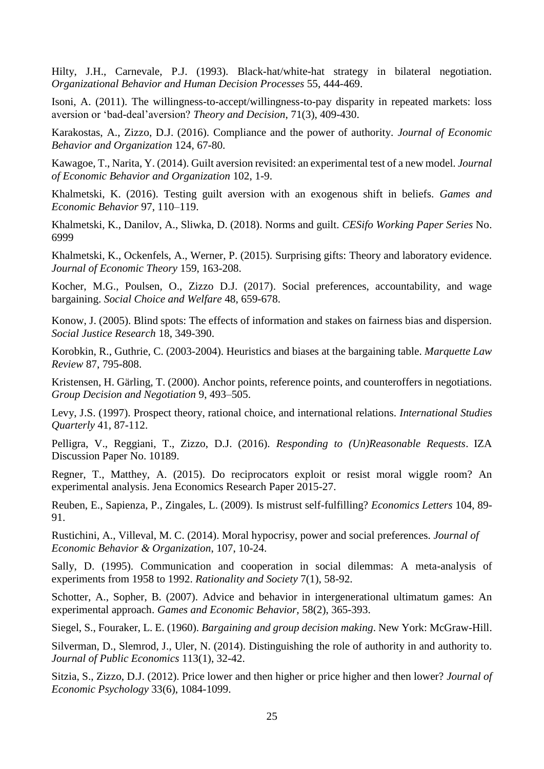Hilty, J.H., Carnevale, P.J. (1993). Black-hat/white-hat strategy in bilateral negotiation. *Organizational Behavior and Human Decision Processes* 55, 444-469.

Isoni, A. (2011). The willingness-to-accept/willingness-to-pay disparity in repeated markets: loss aversion or 'bad-deal'aversion? *Theory and Decision*, 71(3), 409-430.

Karakostas, A., Zizzo, D.J. (2016). Compliance and the power of authority. *Journal of Economic Behavior and Organization* 124, 67-80.

Kawagoe, T., Narita, Y. (2014). Guilt aversion revisited: an experimental test of a new model. *Journal of Economic Behavior and Organization* 102, 1-9.

Khalmetski, K. (2016). Testing guilt aversion with an exogenous shift in beliefs. *Games and Economic Behavior* 97, 110–119.

Khalmetski, K., Danilov, A., Sliwka, D. (2018). Norms and guilt. *CESifo Working Paper Series* No. 6999

Khalmetski, K., Ockenfels, A., Werner, P. (2015). Surprising gifts: Theory and laboratory evidence. *Journal of Economic Theory* 159, 163-208.

Kocher, M.G., Poulsen, O., Zizzo D.J. (2017). Social preferences, accountability, and wage bargaining. *Social Choice and Welfare* 48, 659-678.

Konow, J. (2005). Blind spots: The effects of information and stakes on fairness bias and dispersion. *Social Justice Research* 18, 349-390.

Korobkin, R., Guthrie, C. (2003-2004). Heuristics and biases at the bargaining table. *Marquette Law Review* 87, 795-808.

Kristensen, H. Gärling, T. (2000). Anchor points, reference points, and counteroffers in negotiations. *Group Decision and Negotiation* 9, 493–505.

Levy, J.S. (1997). Prospect theory, rational choice, and international relations. *International Studies Quarterly* 41, 87-112.

Pelligra, V., Reggiani, T., Zizzo, D.J. (2016). *Responding to (Un)Reasonable Requests*. IZA Discussion Paper No. 10189.

Regner, T., Matthey, A. (2015). Do reciprocators exploit or resist moral wiggle room? An experimental analysis. Jena Economics Research Paper 2015-27.

Reuben, E., Sapienza, P., Zingales, L. (2009). Is mistrust self-fulfilling? *Economics Letters* 104, 89- 91.

Rustichini, A., Villeval, M. C. (2014). Moral hypocrisy, power and social preferences. *Journal of Economic Behavior & Organization*, 107, 10-24.

Sally, D. (1995). Communication and cooperation in social dilemmas: A meta-analysis of experiments from 1958 to 1992. *Rationality and Society* 7(1), 58-92.

Schotter, A., Sopher, B. (2007). Advice and behavior in intergenerational ultimatum games: An experimental approach. *Games and Economic Behavior,* 58(2), 365-393.

Siegel, S., Fouraker, L. E. (1960). *Bargaining and group decision making*. New York: McGraw-Hill.

Silverman, D., Slemrod, J., Uler, N. (2014). Distinguishing the role of authority in and authority to. *Journal of Public Economics* 113(1), 32-42.

Sitzia, S., Zizzo, D.J. (2012). Price lower and then higher or price higher and then lower? *Journal of Economic Psychology* 33(6), 1084-1099.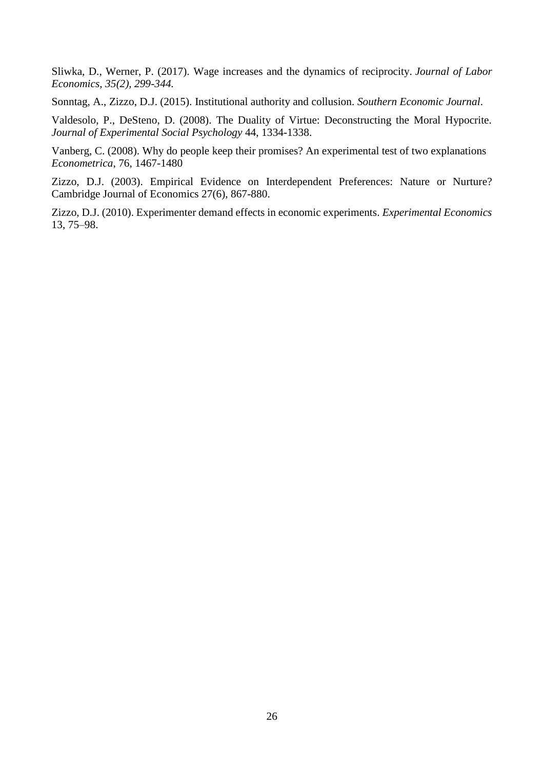Sliwka, D., Werner, P. (2017). Wage increases and the dynamics of reciprocity. *Journal of Labor Economics, 35(2), 299-344.*

Sonntag, A., Zizzo, D.J. (2015). Institutional authority and collusion. *Southern Economic Journal*.

Valdesolo, P., DeSteno, D. (2008). The Duality of Virtue: Deconstructing the Moral Hypocrite. *Journal of Experimental Social Psychology* 44, 1334-1338.

Vanberg, C. (2008). Why do people keep their promises? An experimental test of two explanations *Econometrica*, 76, 1467-1480

Zizzo, D.J. (2003). Empirical Evidence on Interdependent Preferences: Nature or Nurture? Cambridge Journal of Economics 27(6), 867-880.

Zizzo, D.J. (2010). Experimenter demand effects in economic experiments. *Experimental Economics*  13, 75–98.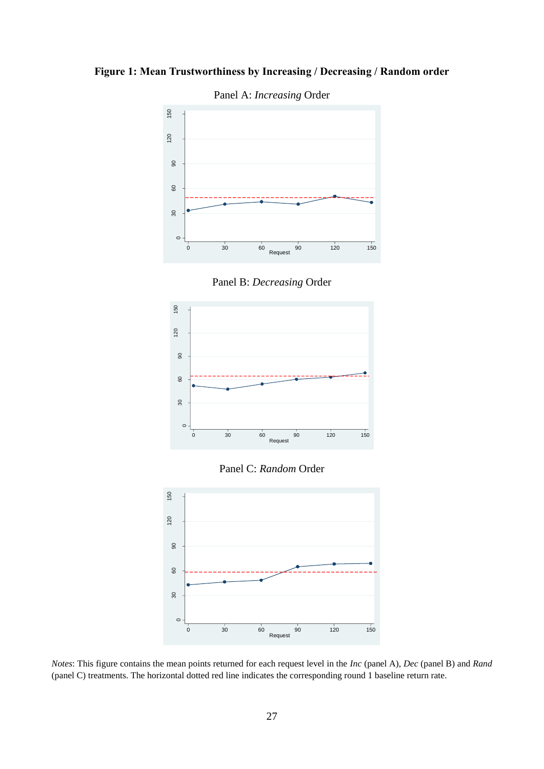**Figure 1: Mean Trustworthiness by Increasing / Decreasing / Random order**



Panel A: *Increasing* Order

Panel B: *Decreasing* Order



Panel C: *Random* Order



*Notes*: This figure contains the mean points returned for each request level in the *Inc* (panel A), *Dec* (panel B) and *Rand* (panel C) treatments. The horizontal dotted red line indicates the corresponding round 1 baseline return rate.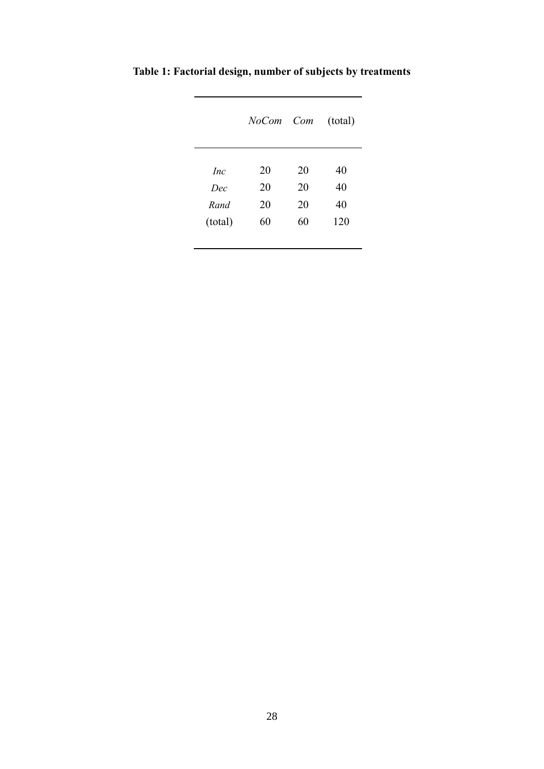|            | NoCom Com |    | (total) |
|------------|-----------|----|---------|
| <i>Inc</i> | 20        | 20 | 40      |
| Dec        | 20        | 20 | 40      |
| Rand       | 20        | 20 | 40      |
| (total)    | 60        | 60 | 120     |

**Table 1: Factorial design, number of subjects by treatments**

L

l,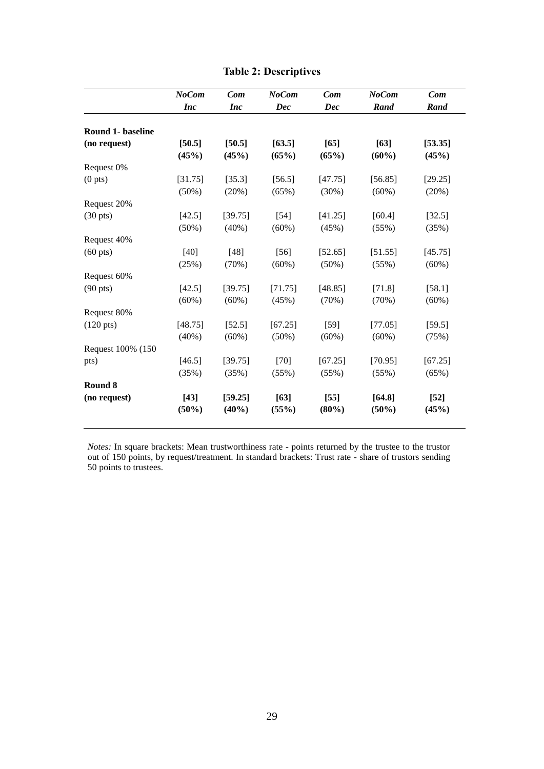|                          | <b>NoCom</b>        | Com                 | <b>NoCom</b>        | Com                 | <b>NoCom</b>        | Com              |
|--------------------------|---------------------|---------------------|---------------------|---------------------|---------------------|------------------|
|                          | <b>Inc</b>          | <i>Inc</i>          | <b>Dec</b>          | <b>Dec</b>          | Rand                | Rand             |
| <b>Round 1- baseline</b> |                     |                     |                     |                     |                     |                  |
| (no request)             | [50.5]<br>(45%)     | [50.5]<br>(45%)     | [63.5]<br>(65%)     | $[65]$<br>(65%)     | [63]<br>$(60\%)$    | [53.35]<br>(45%) |
| Request 0%               |                     |                     |                     |                     |                     |                  |
| (0 <sub>pts</sub> )      | [31.75]<br>$(50\%)$ | [35.3]<br>(20%)     | [56.5]<br>(65%)     | [47.75]<br>$(30\%)$ | [56.85]<br>$(60\%)$ | [29.25]<br>(20%) |
| Request 20%              |                     |                     |                     |                     |                     |                  |
| $(30 \text{ pts})$       | [42.5]<br>$(50\%)$  | [39.75]<br>$(40\%)$ | $[54]$<br>$(60\%)$  | [41.25]<br>(45%)    | [60.4]<br>(55%)     | [32.5]<br>(35%)  |
| Request 40%              |                     |                     |                     |                     |                     |                  |
| $(60 \text{ pts})$       | $[40]$<br>(25%)     | $[48]$<br>(70%)     | $[56]$<br>$(60\%)$  | [52.65]<br>$(50\%)$ | [51.55]<br>(55%)    | [45.75]<br>(60%) |
| Request 60%              |                     |                     |                     |                     |                     |                  |
| $(90 \text{ pts})$       | [42.5]<br>$(60\%)$  | [39.75]<br>$(60\%)$ | [71.75]<br>(45%)    | [48.85]<br>(70%)    | [71.8]<br>(70%)     | [58.1]<br>(60%)  |
| Request 80%              |                     |                     |                     |                     |                     |                  |
| $(120 \text{ pts})$      | [48.75]<br>$(40\%)$ | [52.5]<br>$(60\%)$  | [67.25]<br>$(50\%)$ | $[59]$<br>(60%)     | [77.05]<br>$(60\%)$ | [59.5]<br>(75%)  |
| Request 100% (150        |                     |                     |                     |                     |                     |                  |
| pts)                     | [46.5]<br>(35%)     | [39.75]<br>(35%)    | $[70]$<br>(55%)     | [67.25]<br>(55%)    | [70.95]<br>(55%)    | [67.25]<br>(65%) |
| Round 8                  |                     |                     |                     |                     |                     |                  |
| (no request)             | $[43]$<br>(50%)     | [59.25]<br>(40%)    | $[63]$<br>(55%)     | $[55]$<br>(80%)     | [64.8]<br>$(50\%)$  | $[52]$<br>(45%)  |

#### **Table 2: Descriptives**

*Notes:* In square brackets: Mean trustworthiness rate - points returned by the trustee to the trustor out of 150 points, by request/treatment. In standard brackets: Trust rate - share of trustors sending 50 points to trustees.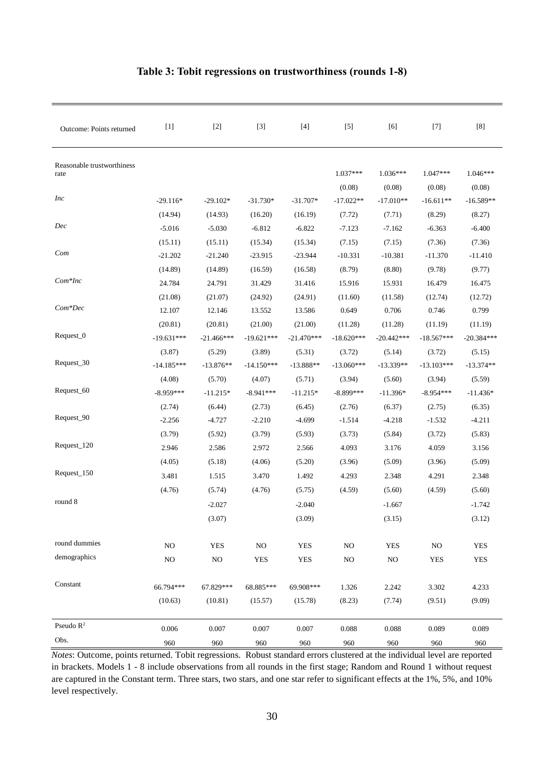| Outcome: Points returned           |              | $[2]$        | $[3]$        | $[4]$        | $[5]$                | $[6]$                | $[7]$                | $[8]$                |
|------------------------------------|--------------|--------------|--------------|--------------|----------------------|----------------------|----------------------|----------------------|
| Reasonable trustworthiness<br>rate |              |              |              |              | $1.037***$<br>(0.08) | $1.036***$<br>(0.08) | $1.047***$<br>(0.08) | $1.046***$<br>(0.08) |
| <i>Inc</i>                         | $-29.116*$   | $-29.102*$   | $-31.730*$   | $-31.707*$   | $-17.022**$          | $-17.010**$          | $-16.611**$          | $-16.589**$          |
|                                    | (14.94)      | (14.93)      | (16.20)      | (16.19)      | (7.72)               | (7.71)               | (8.29)               | (8.27)               |
| Dec                                | $-5.016$     | $-5.030$     | $-6.812$     | $-6.822$     | $-7.123$             | $-7.162$             | $-6.363$             | $-6.400$             |
|                                    | (15.11)      | (15.11)      | (15.34)      | (15.34)      | (7.15)               | (7.15)               | (7.36)               | (7.36)               |
| Com                                | $-21.202$    | $-21.240$    | $-23.915$    | $-23.944$    | $-10.331$            | $-10.381$            | $-11.370$            | $-11.410$            |
|                                    | (14.89)      | (14.89)      | (16.59)      | (16.58)      | (8.79)               | (8.80)               | (9.78)               | (9.77)               |
| $Com*Inc$                          | 24.784       | 24.791       | 31.429       | 31.416       | 15.916               | 15.931               | 16.479               | 16.475               |
|                                    | (21.08)      | (21.07)      | (24.92)      | (24.91)      | (11.60)              | (11.58)              | (12.74)              | (12.72)              |
| $Com*Dec$                          | 12.107       | 12.146       | 13.552       | 13.586       | 0.649                | 0.706                | 0.746                | 0.799                |
|                                    | (20.81)      | (20.81)      | (21.00)      | (21.00)      | (11.28)              | (11.28)              | (11.19)              | (11.19)              |
| Request_0                          | $-19.631***$ | $-21.466***$ | $-19.621***$ | $-21.470***$ | $-18.620***$         | $-20.442***$         | $-18.567***$         | $-20.384***$         |
|                                    | (3.87)       | (5.29)       | (3.89)       | (5.31)       | (3.72)               | (5.14)               | (3.72)               | (5.15)               |
| Request_30                         | $-14.185***$ | $-13.876**$  | $-14.150***$ | $-13.888**$  | $-13.060***$         | $-13.339**$          | $-13.103***$         | $-13.374**$          |
|                                    | (4.08)       | (5.70)       | (4.07)       | (5.71)       | (3.94)               | (5.60)               | (3.94)               | (5.59)               |
| Request_60                         | $-8.959***$  | $-11.215*$   | $-8.941***$  | $-11.215*$   | $-8.899***$          | $-11.396*$           | $-8.954***$          | $-11.436*$           |
|                                    | (2.74)       | (6.44)       | (2.73)       | (6.45)       | (2.76)               | (6.37)               | (2.75)               | (6.35)               |
| Request_90                         | $-2.256$     | $-4.727$     | $-2.210$     | $-4.699$     | $-1.514$             | $-4.218$             | $-1.532$             | $-4.211$             |
|                                    | (3.79)       | (5.92)       | (3.79)       | (5.93)       | (3.73)               | (5.84)               | (3.72)               | (5.83)               |
| Request_120                        | 2.946        | 2.586        | 2.972        | 2.566        | 4.093                | 3.176                | 4.059                | 3.156                |
|                                    | (4.05)       | (5.18)       | (4.06)       | (5.20)       | (3.96)               | (5.09)               | (3.96)               | (5.09)               |
| Request_150                        | 3.481        | 1.515        | 3.470        | 1.492        | 4.293                | 2.348                | 4.291                | 2.348                |
|                                    | (4.76)       | (5.74)       | (4.76)       | (5.75)       | (4.59)               | (5.60)               | (4.59)               | (5.60)               |
| round 8                            |              | $-2.027$     |              | $-2.040$     |                      | $-1.667$             |                      | $-1.742$             |
|                                    |              | (3.07)       |              | (3.09)       |                      | (3.15)               |                      | (3.12)               |
| round dummies                      | $_{\rm NO}$  | <b>YES</b>   | $_{\rm NO}$  | <b>YES</b>   | $\rm NO$             | <b>YES</b>           | $_{\rm NO}$          | <b>YES</b>           |
| demographics                       | $\rm NO$     | NO           | <b>YES</b>   | <b>YES</b>   | $\rm NO$             | $\rm NO$             | <b>YES</b>           | <b>YES</b>           |
| Constant                           | 66.794***    | 67.829***    | 68.885***    | 69.908***    | 1.326                | 2.242                | 3.302                | 4.233                |
|                                    | (10.63)      | (10.81)      | (15.57)      | (15.78)      | (8.23)               | (7.74)               | (9.51)               | (9.09)               |
| Pseudo $R^2$                       | 0.006        | 0.007        | 0.007        | 0.007        | 0.088                | 0.088                | 0.089                | 0.089                |
| Obs.                               | 960          | 960          | 960          | 960          | 960                  | 960                  | 960                  | 960                  |

#### **Table 3: Tobit regressions on trustworthiness (rounds 1-8)**

*Notes*: Outcome, points returned. Tobit regressions. Robust standard errors clustered at the individual level are reported in brackets. Models 1 - 8 include observations from all rounds in the first stage; Random and Round 1 without request are captured in the Constant term. Three stars, two stars, and one star refer to significant effects at the 1%, 5%, and 10% level respectively.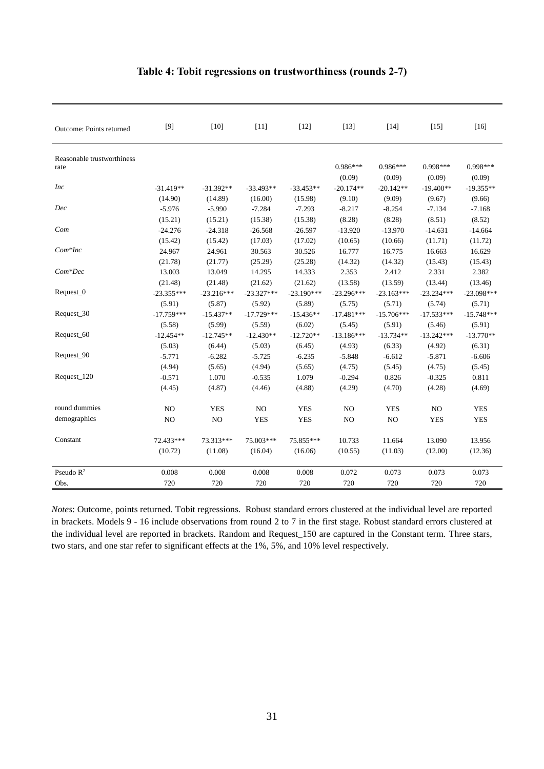| Outcome: Points returned           | $[9]$        | $[10]$       | $[11]$       | $[12]$       | $[13]$       | $[14]$       | $[15]$         | $[16]$                 |
|------------------------------------|--------------|--------------|--------------|--------------|--------------|--------------|----------------|------------------------|
| Reasonable trustworthiness<br>rate |              |              |              |              | $0.986***$   | $0.986***$   | 0.998 ***      | 0.998***               |
|                                    |              |              |              |              | (0.09)       | (0.09)       | (0.09)         | (0.09)                 |
| <i>Inc</i>                         | $-31.419**$  | $-31.392**$  | $-33.493**$  | $-33.453**$  | $-20.174**$  | $-20.142**$  | $-19.400**$    | $-19.355**$            |
|                                    | (14.90)      | (14.89)      | (16.00)      | (15.98)      | (9.10)       | (9.09)       | (9.67)         | (9.66)                 |
| Dec                                | $-5.976$     | $-5.990$     | $-7.284$     | $-7.293$     | $-8.217$     | $-8.254$     | $-7.134$       | $-7.168$               |
|                                    | (15.21)      | (15.21)      | (15.38)      | (15.38)      | (8.28)       | (8.28)       | (8.51)         | (8.52)                 |
| Com                                | $-24.276$    | $-24.318$    | $-26.568$    | $-26.597$    | $-13.920$    | $-13.970$    | $-14.631$      | $-14.664$              |
|                                    | (15.42)      | (15.42)      | (17.03)      | (17.02)      | (10.65)      | (10.66)      | (11.71)        | (11.72)                |
| $Com*Inc$                          | 24.967       | 24.961       | 30.563       | 30.526       | 16.777       | 16.775       | 16.663         | 16.629                 |
|                                    | (21.78)      | (21.77)      | (25.29)      | (25.28)      | (14.32)      | (14.32)      | (15.43)        | (15.43)                |
| $Com*Dec$                          | 13.003       | 13.049       | 14.295       | 14.333       | 2.353        | 2.412        | 2.331          | 2.382                  |
|                                    | (21.48)      | (21.48)      | (21.62)      | (21.62)      | (13.58)      | (13.59)      | (13.44)        | (13.46)                |
| Request_0                          | $-23.355***$ | $-23.216***$ | $-23.327***$ | $-23.190***$ | $-23.296***$ | $-23.163***$ | $-23.234***$   | $-23.098***$           |
|                                    | (5.91)       | (5.87)       | (5.92)       | (5.89)       | (5.75)       | (5.71)       | (5.74)         |                        |
| Request_30                         | $-17.759***$ | $-15.437**$  | $-17.729***$ | $-15.436**$  | $-17.481***$ | $-15.706***$ | $-17.533***$   | (5.71)<br>$-15.748***$ |
|                                    | (5.58)       | (5.99)       | (5.59)       |              |              | (5.91)       |                |                        |
| Request_60                         |              | $-12.745**$  |              | (6.02)       | (5.45)       |              | (5.46)         | (5.91)                 |
|                                    | $-12.454**$  |              | $-12.430**$  | $-12.720**$  | $-13.186***$ | $-13.734**$  | $-13.242***$   | $-13.770**$            |
| Request_90                         | (5.03)       | (6.44)       | (5.03)       | (6.45)       | (4.93)       | (6.33)       | (4.92)         | (6.31)                 |
|                                    | $-5.771$     | $-6.282$     | $-5.725$     | $-6.235$     | $-5.848$     | $-6.612$     | $-5.871$       | $-6.606$               |
|                                    | (4.94)       | (5.65)       | (4.94)       | (5.65)       | (4.75)       | (5.45)       | (4.75)         | (5.45)                 |
| Request_120                        | $-0.571$     | 1.070        | $-0.535$     | 1.079        | $-0.294$     | 0.826        | $-0.325$       | 0.811                  |
|                                    | (4.45)       | (4.87)       | (4.46)       | (4.88)       | (4.29)       | (4.70)       | (4.28)         | (4.69)                 |
| round dummies                      | NO           | <b>YES</b>   | NO.          | <b>YES</b>   | NO           | <b>YES</b>   | N <sub>O</sub> | <b>YES</b>             |
| demographics                       | NO           | NO           | <b>YES</b>   | <b>YES</b>   | NO           | NO           | <b>YES</b>     | <b>YES</b>             |
|                                    |              |              |              |              |              |              |                |                        |
| Constant                           | 72.433***    | 73.313***    | 75.003***    | 75.855***    | 10.733       | 11.664       | 13.090         | 13.956                 |
|                                    | (10.72)      | (11.08)      | (16.04)      | (16.06)      | (10.55)      | (11.03)      | (12.00)        | (12.36)                |
| Pseudo $R^2$                       | 0.008        | 0.008        | 0.008        | 0.008        | 0.072        | 0.073        | 0.073          | 0.073                  |
| Obs.                               | 720          | 720          | 720          | 720          | 720          | 720          | 720            | 720                    |

#### **Table 4: Tobit regressions on trustworthiness (rounds 2-7)**

*Notes*: Outcome, points returned. Tobit regressions. Robust standard errors clustered at the individual level are reported in brackets. Models 9 - 16 include observations from round 2 to 7 in the first stage. Robust standard errors clustered at the individual level are reported in brackets. Random and Request\_150 are captured in the Constant term. Three stars, two stars, and one star refer to significant effects at the 1%, 5%, and 10% level respectively.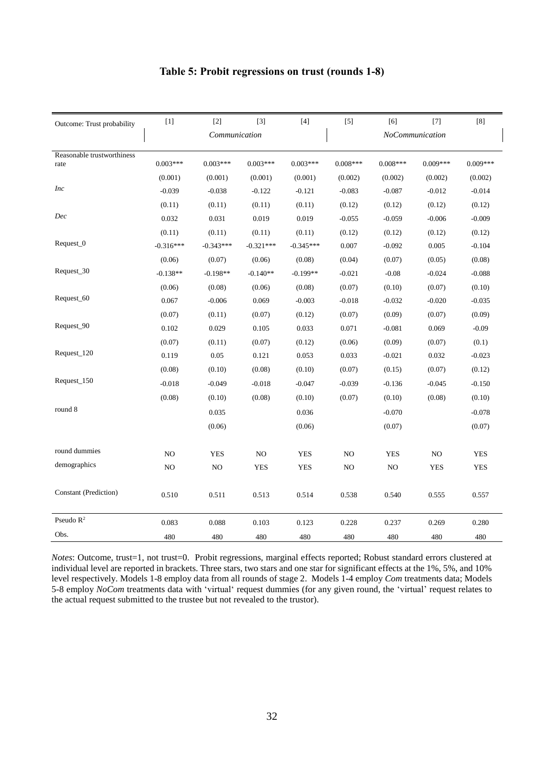|  | Table 5: Probit regressions on trust (rounds 1-8) |  |  |
|--|---------------------------------------------------|--|--|
|  |                                                   |  |  |

| Outcome: Trust probability | $[1]$       | $[2]$         | $[3]$       | $[4]$       | $[5]$           | $[6]$      | $[7]$      | [8]        |  |
|----------------------------|-------------|---------------|-------------|-------------|-----------------|------------|------------|------------|--|
|                            |             | Communication |             |             | NoCommunication |            |            |            |  |
| Reasonable trustworthiness |             |               |             |             |                 |            |            |            |  |
| rate                       | $0.003***$  | $0.003***$    | $0.003***$  | $0.003***$  | $0.008***$      | $0.008***$ | $0.009***$ | $0.009***$ |  |
|                            | (0.001)     | (0.001)       | (0.001)     | (0.001)     | (0.002)         | (0.002)    | (0.002)    | (0.002)    |  |
| <i>Inc</i>                 | $-0.039$    | $-0.038$      | $-0.122$    | $-0.121$    | $-0.083$        | $-0.087$   | $-0.012$   | $-0.014$   |  |
|                            | (0.11)      | (0.11)        | (0.11)      | (0.11)      | (0.12)          | (0.12)     | (0.12)     | (0.12)     |  |
| Dec                        | 0.032       | 0.031         | 0.019       | 0.019       | $-0.055$        | $-0.059$   | $-0.006$   | $-0.009$   |  |
|                            | (0.11)      | (0.11)        | (0.11)      | (0.11)      | (0.12)          | (0.12)     | (0.12)     | (0.12)     |  |
| Request_0                  | $-0.316***$ | $-0.343***$   | $-0.321***$ | $-0.345***$ | 0.007           | $-0.092$   | 0.005      | $-0.104$   |  |
|                            | (0.06)      | (0.07)        | (0.06)      | (0.08)      | (0.04)          | (0.07)     | (0.05)     | (0.08)     |  |
| Request_30                 | $-0.138**$  | $-0.198**$    | $-0.140**$  | $-0.199**$  | $-0.021$        | $-0.08$    | $-0.024$   | $-0.088$   |  |
|                            | (0.06)      | (0.08)        | (0.06)      | (0.08)      | (0.07)          | (0.10)     | (0.07)     | (0.10)     |  |
| Request_60                 | 0.067       | $-0.006$      | 0.069       | $-0.003$    | $-0.018$        | $-0.032$   | $-0.020$   | $-0.035$   |  |
|                            | (0.07)      | (0.11)        | (0.07)      | (0.12)      | (0.07)          | (0.09)     | (0.07)     | (0.09)     |  |
| Request_90                 | 0.102       | 0.029         | 0.105       | 0.033       | 0.071           | $-0.081$   | 0.069      | $-0.09$    |  |
|                            | (0.07)      | (0.11)        | (0.07)      | (0.12)      | (0.06)          | (0.09)     | (0.07)     | (0.1)      |  |
| Request_120                | 0.119       | 0.05          | 0.121       | 0.053       | 0.033           | $-0.021$   | 0.032      | $-0.023$   |  |
|                            | (0.08)      | (0.10)        | (0.08)      | (0.10)      | (0.07)          | (0.15)     | (0.07)     | (0.12)     |  |
| Request_150                | $-0.018$    | $-0.049$      | $-0.018$    | $-0.047$    | $-0.039$        | $-0.136$   | $-0.045$   | $-0.150$   |  |
|                            | (0.08)      | (0.10)        | (0.08)      | (0.10)      | (0.07)          | (0.10)     | (0.08)     | (0.10)     |  |
| round 8                    |             | 0.035         |             | 0.036       |                 | $-0.070$   |            | $-0.078$   |  |
|                            |             | (0.06)        |             | (0.06)      |                 | (0.07)     |            | (0.07)     |  |
|                            |             |               |             |             |                 |            |            |            |  |
| round dummies              | NO          | <b>YES</b>    | NO          | <b>YES</b>  | NO              | <b>YES</b> | NO         | <b>YES</b> |  |
| demographics               | NO          | NO            | <b>YES</b>  | <b>YES</b>  | $_{\rm NO}$     | NO         | <b>YES</b> | <b>YES</b> |  |
|                            |             |               |             |             |                 |            |            |            |  |
| Constant (Prediction)      | 0.510       | 0.511         | 0.513       | 0.514       | 0.538           | 0.540      | 0.555      | 0.557      |  |
|                            |             |               |             |             |                 |            |            |            |  |
| Pseudo $R^2$               | 0.083       | 0.088         | 0.103       | 0.123       | 0.228           | 0.237      | 0.269      | 0.280      |  |
| Obs.                       | 480         | 480           | 480         | 480         | 480             | 480        | 480        | 480        |  |

*Notes*: Outcome, trust=1, not trust=0. Probit regressions, marginal effects reported; Robust standard errors clustered at individual level are reported in brackets. Three stars, two stars and one star for significant effects at the 1%, 5%, and 10% level respectively. Models 1-8 employ data from all rounds of stage 2. Models 1-4 employ *Com* treatments data; Models 5-8 employ *NoCom* treatments data with 'virtual' request dummies (for any given round, the 'virtual' request relates to the actual request submitted to the trustee but not revealed to the trustor).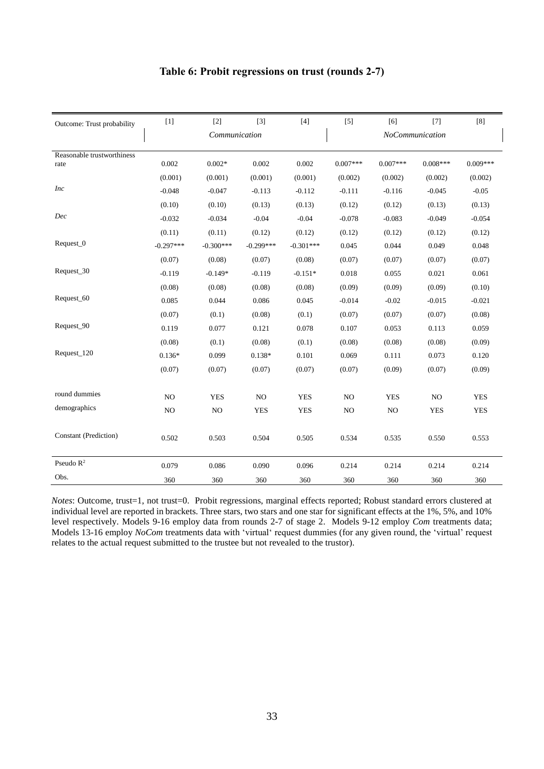|  | Table 6: Probit regressions on trust (rounds 2-7) |  |  |
|--|---------------------------------------------------|--|--|
|  |                                                   |  |  |

| Outcome: Trust probability | $[1]$       | $[2]$         | $[3]$       | $[4]$       | $[5]$      | [6]             | $[7]$      | [8]        |
|----------------------------|-------------|---------------|-------------|-------------|------------|-----------------|------------|------------|
|                            |             | Communication |             |             |            | NoCommunication |            |            |
| Reasonable trustworthiness |             |               |             |             |            |                 |            |            |
| rate                       | 0.002       | $0.002*$      | 0.002       | 0.002       | $0.007***$ | $0.007***$      | $0.008***$ | $0.009***$ |
|                            | (0.001)     | (0.001)       | (0.001)     | (0.001)     | (0.002)    | (0.002)         | (0.002)    | (0.002)    |
| <b>Inc</b>                 | $-0.048$    | $-0.047$      | $-0.113$    | $-0.112$    | $-0.111$   | $-0.116$        | $-0.045$   | $-0.05$    |
|                            | (0.10)      | (0.10)        | (0.13)      | (0.13)      | (0.12)     | (0.12)          | (0.13)     | (0.13)     |
| Dec                        | $-0.032$    | $-0.034$      | $-0.04$     | $-0.04$     | $-0.078$   | $-0.083$        | $-0.049$   | $-0.054$   |
|                            | (0.11)      | (0.11)        | (0.12)      | (0.12)      | (0.12)     | (0.12)          | (0.12)     | (0.12)     |
| Request_0                  | $-0.297***$ | $-0.300***$   | $-0.299***$ | $-0.301***$ | 0.045      | 0.044           | 0.049      | 0.048      |
|                            | (0.07)      | (0.08)        | (0.07)      | (0.08)      | (0.07)     | (0.07)          | (0.07)     | (0.07)     |
| Request_30                 | $-0.119$    | $-0.149*$     | $-0.119$    | $-0.151*$   | 0.018      | 0.055           | 0.021      | 0.061      |
|                            | (0.08)      | (0.08)        | (0.08)      | (0.08)      | (0.09)     | (0.09)          | (0.09)     | (0.10)     |
| Request_60                 | 0.085       | 0.044         | 0.086       | 0.045       | $-0.014$   | $-0.02$         | $-0.015$   | $-0.021$   |
|                            | (0.07)      | (0.1)         | (0.08)      | (0.1)       | (0.07)     | (0.07)          | (0.07)     | (0.08)     |
| Request_90                 | 0.119       | 0.077         | 0.121       | 0.078       | 0.107      | 0.053           | 0.113      | 0.059      |
|                            | (0.08)      | (0.1)         | (0.08)      | (0.1)       | (0.08)     | (0.08)          | (0.08)     | (0.09)     |
| Request_120                | $0.136*$    | 0.099         | $0.138*$    | 0.101       | 0.069      | 0.111           | 0.073      | 0.120      |
|                            | (0.07)      | (0.07)        | (0.07)      | (0.07)      | (0.07)     | (0.09)          | (0.07)     | (0.09)     |
|                            |             |               |             |             |            |                 |            |            |
| round dummies              | NO          | <b>YES</b>    | NO.         | <b>YES</b>  | NO         | <b>YES</b>      | NO         | <b>YES</b> |
| demographics               | NO          | NO            | <b>YES</b>  | <b>YES</b>  | NO         | NO              | <b>YES</b> | <b>YES</b> |
|                            |             |               |             |             |            |                 |            |            |
| Constant (Prediction)      | 0.502       | 0.503         | 0.504       | 0.505       | 0.534      | 0.535           | 0.550      | 0.553      |
| Pseudo $R^2$               |             |               |             |             |            |                 |            |            |
| Obs.                       | 0.079       | 0.086         | 0.090       | 0.096       | 0.214      | 0.214           | 0.214      | 0.214      |
|                            | 360         | 360           | 360         | 360         | 360        | 360             | 360        | 360        |

*Notes*: Outcome, trust=1, not trust=0. Probit regressions, marginal effects reported; Robust standard errors clustered at individual level are reported in brackets. Three stars, two stars and one star for significant effects at the 1%, 5%, and 10% level respectively. Models 9-16 employ data from rounds 2-7 of stage 2. Models 9-12 employ *Com* treatments data; Models 13-16 employ *NoCom* treatments data with 'virtual' request dummies (for any given round, the 'virtual' request relates to the actual request submitted to the trustee but not revealed to the trustor).